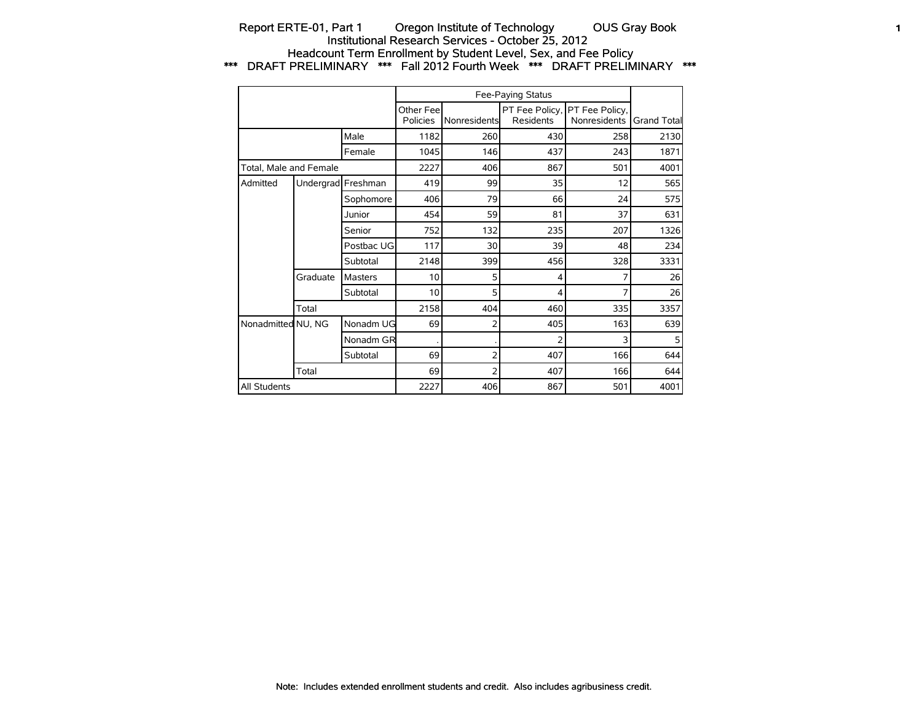## Report ERTE-01, Part 1 Oregon Institute of Technology OUS Gray Book 1 Institutional Research Services - October 25, 2012 Headcount Term Enrollment by Student Level, Sex, and Fee Policy \*\*\* DRAFT PRELIMINARY \*\*\* Fall 2012 Fourth Week \*\*\* DRAFT PRELIMINARY \*\*\*

|                        |                    |            |                        |              | Fee-Paying Status |                                               |             |
|------------------------|--------------------|------------|------------------------|--------------|-------------------|-----------------------------------------------|-------------|
|                        |                    |            | Other Feel<br>Policies | Nonresidents | Residents         | PT Fee Policy, PT Fee Policy,<br>Nonresidents | Grand Total |
|                        |                    | Male       | 1182                   | 260          | 430               | 258                                           | 2130        |
|                        |                    | Female     | 1045                   | 146          | 437               | 243                                           | 1871        |
| Total. Male and Female |                    |            | 2227                   | 406          | 867               | 501                                           | 4001        |
| Admitted               | Undergrad Freshman |            | 419                    | 99           | 35                | 12                                            | 565         |
|                        |                    | Sophomore  | 406                    | 79           | 66                | 24                                            | 575         |
|                        |                    | Junior     | 454                    | 59           | 81                | 37                                            | 631         |
|                        |                    | Senior     | 752                    | 132          | 235               | 207                                           | 1326        |
|                        |                    | Postbac UG | 117                    | 30           | 39                | 48                                            | 234         |
|                        |                    | Subtotal   | 2148                   | 399          | 456               | 328                                           | 3331        |
|                        | Graduate           | Masters    | 10                     | 5            | 4                 | 7                                             | 26          |
|                        |                    | Subtotal   | 10                     | 5            | 4                 | 7                                             | 26          |
|                        | Total              |            | 2158                   | 404          | 460               | 335                                           | 3357        |
| Nonadmitted NU, NG     |                    | Nonadm UG  | 69                     | 2            | 405               | 163                                           | 639         |
|                        |                    | Nonadm GR  |                        |              | 2                 | 3                                             | 5           |
|                        |                    | Subtotal   | 69                     | 2            | 407               | 166                                           | 644         |
|                        | Total              |            | 69                     | 2            | 407               | 166                                           | 644         |
| All Students           |                    |            | 2227                   | 406          | 867               | 501                                           | 4001        |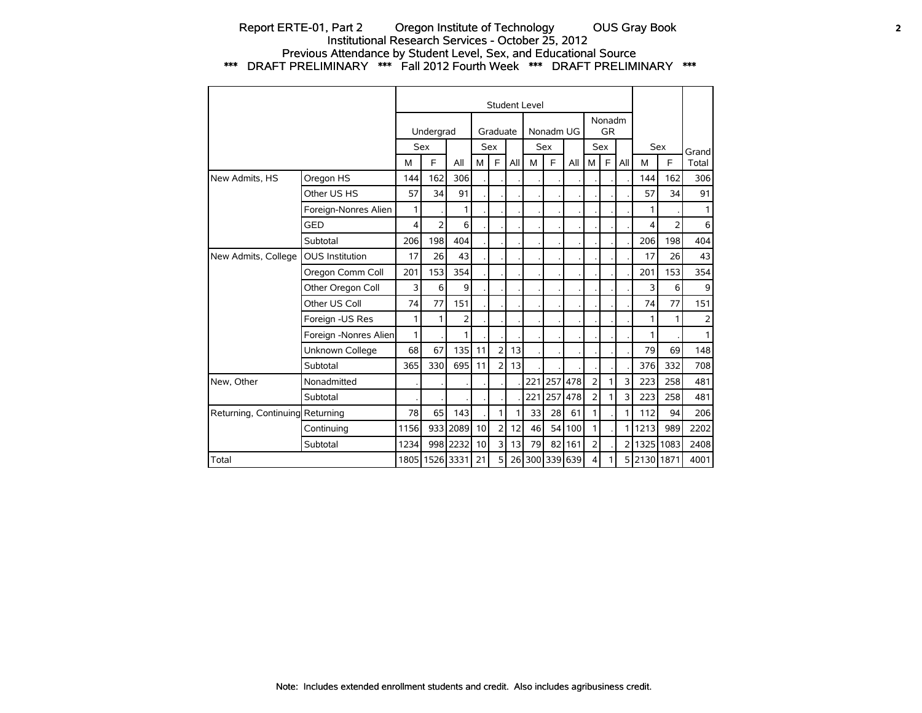## Report ERTE-01, Part 2 Oregon Institute of Technology OUS Gray Book 2 Institutional Research Services - October 25, 2012 Previous Attendance by Student Level, Sex, and Educational Source \*\*\* DRAFT PRELIMINARY \*\*\* Fall 2012 Fourth Week \*\*\* DRAFT PRELIMINARY \*\*\*

|                                 |                        |      |                |                |    |                |     | <b>Student Level</b> |           |                |                |                     |                |             |                |                |
|---------------------------------|------------------------|------|----------------|----------------|----|----------------|-----|----------------------|-----------|----------------|----------------|---------------------|----------------|-------------|----------------|----------------|
|                                 |                        |      | Undergrad      |                |    | Graduate       |     |                      | Nonadm UG |                |                | Nonadm<br><b>GR</b> |                |             |                |                |
|                                 |                        |      | Sex            |                |    | <b>Sex</b>     |     |                      | Sex       |                |                | Sex                 |                |             | <b>Sex</b>     | Grandl         |
|                                 |                        | М    | F              | All            | M  | F              | All | M                    | F         | All            | М              | F                   | All            | M           | F              | Total          |
| New Admits, HS                  | Oregon HS              | 144  | 162            | 306            |    |                |     |                      |           |                |                |                     |                | 144         | 162            | 306            |
|                                 | Other US HS            | 57   | 34             | 91             |    |                |     |                      |           |                |                |                     |                | 57          | 34             | 91             |
|                                 | Foreign-Nonres Alien   | 1    |                | 1              |    |                |     |                      |           |                |                |                     |                |             |                | $\mathbf{1}$   |
|                                 | <b>GED</b>             | 4    | $\overline{2}$ | 6              |    |                |     |                      |           |                |                |                     |                | 4           | $\overline{2}$ | $6 \mid$       |
|                                 | Subtotal               | 206  | 198            | 404            |    |                |     |                      |           |                |                |                     |                | 206         | 198            | 404            |
| New Admits, College             | <b>OUS Institution</b> | 17   | 26             | 43             |    |                |     |                      |           |                |                |                     |                | 17          | 26             | 43             |
|                                 | Oregon Comm Coll       | 201  | 153            | 354            |    |                |     |                      |           |                |                |                     |                | 201         | 153            | 354            |
|                                 | Other Oregon Coll      | 3    | 6              | 9              |    |                |     |                      |           |                |                |                     |                | 3           | 6              | $\overline{9}$ |
|                                 | Other US Coll          | 74   | 77             | 151            |    |                |     |                      |           |                |                |                     |                | 74          | 77             | 151            |
|                                 | Foreign -US Res        | 1    | $\mathbf{1}$   | $\overline{2}$ |    |                |     |                      |           |                |                |                     |                | 1           | 1              | 2 <sup>1</sup> |
|                                 | Foreign -Nonres Alien  | 1    |                | 1              |    |                |     |                      |           |                |                |                     |                | 1           |                | $\mathbf{1}$   |
|                                 | Unknown College        | 68   | 67             | 135            | 11 | $\overline{2}$ | 13  |                      |           |                |                |                     |                | 79          | 69             | 148            |
|                                 | Subtotal               | 365  | 330            | 695            | 11 | $\overline{2}$ | 13  |                      |           |                |                |                     |                | 376         | 332            | 708            |
| New, Other                      | Nonadmitted            |      |                |                |    |                |     | 221                  | 1257      | 478            | $\overline{2}$ |                     | 3              | 223         | 258            | 481            |
|                                 | Subtotal               |      |                |                |    |                |     | 221                  | 257       | 478            | $\overline{2}$ |                     | 3              | 223         | 258            | 481            |
| Returning, Continuing Returning |                        | 78   | 65             | 143            |    | 1              | 1.  | 33                   | 28        | 61             | 1              |                     | 1.             | 112         | 94             | 206            |
|                                 | Continuing             | 1156 |                | 933 2089       | 10 | $\overline{2}$ | 12  | 46                   | 54        | 100            | 1              |                     | 11             | 1213        | 989            | 2202           |
|                                 | Subtotal               | 1234 |                | 998 2232       | 10 | 3              | 13  | 79                   |           | 82 161         | 2              |                     | $\overline{2}$ |             | 1325 1083      | 2408           |
| Total                           |                        |      |                | 1805 1526 3331 | 21 | 5              |     |                      |           | 26 300 339 639 | 4              |                     |                | 5 2130 1871 |                | 4001           |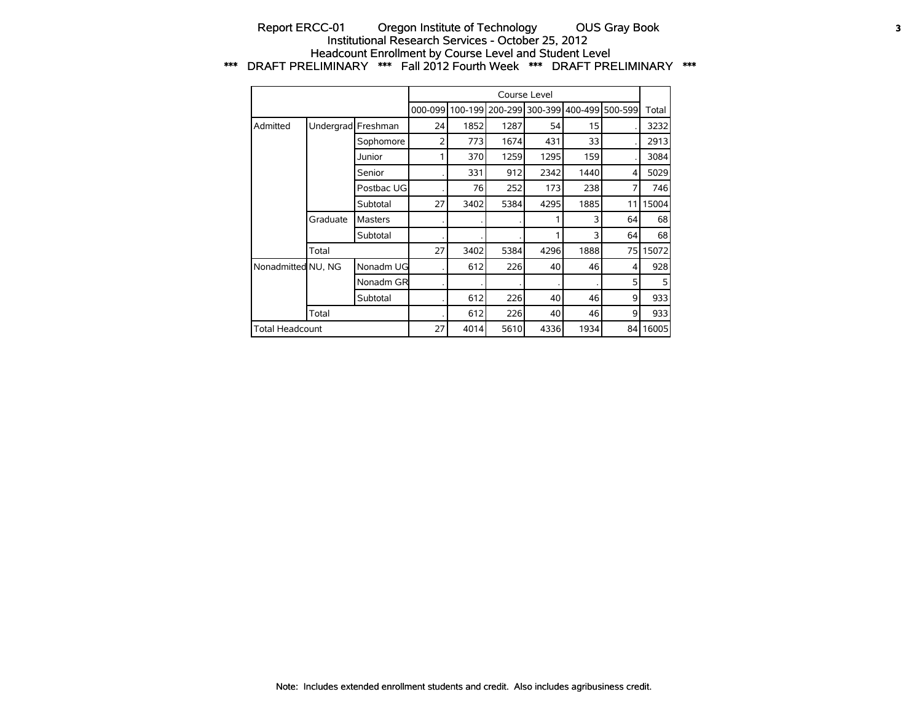## Report ERCC-01 Oregon Institute of Technology OUS Gray Book 3 Institutional Research Services - October 25, 2012 Headcount Enrollment by Course Level and Student Level \*\*\* DRAFT PRELIMINARY \*\*\* Fall 2012 Fourth Week \*\*\* DRAFT PRELIMINARY \*\*\*

|                        |          |                    |         |      |                         | Course Level |      |                 |       |
|------------------------|----------|--------------------|---------|------|-------------------------|--------------|------|-----------------|-------|
|                        |          |                    | 000-099 |      | 100-199 200-299 300-399 |              |      | 400-499 500-599 | Total |
| Admitted               |          | Undergrad Freshman | 24      | 1852 | 1287                    | 54           | 15   |                 | 3232  |
|                        |          | Sophomore          | 2       | 773  | 1674                    | 431          | 33   |                 | 2913  |
|                        |          | Junior             |         | 370  | 1259                    | 1295         | 159  |                 | 3084  |
|                        |          | Senior             |         | 331  | 912                     | 2342         | 1440 | 4               | 5029  |
|                        |          | Postbac UG         |         | 76   | 252                     | 173          | 238  | 7               | 746   |
|                        |          | Subtotal           | 27      | 3402 | 5384                    | 4295         | 1885 | 11              | 15004 |
|                        | Graduate | <b>Masters</b>     |         |      |                         |              | 3    | 64              | 68    |
|                        |          | Subtotal           |         |      |                         |              | 3    | 64              | 68    |
|                        | Total    |                    | 27      | 3402 | 5384                    | 4296         | 1888 | 75 l            | 15072 |
| Nonadmitted NU, NG     |          | Nonadm UG          |         | 612  | 226                     | 40           | 46   | 4               | 928   |
|                        |          | Nonadm GR          |         |      |                         |              |      | 5               | 5     |
|                        |          | Subtotal           |         | 612  | 226                     | 40           | 46   | 9               | 933   |
|                        | Total    |                    |         | 612  | 226                     | 40           | 46   | 9               | 933   |
| <b>Total Headcount</b> |          |                    | 27      | 4014 | 5610                    | 4336         | 1934 | 84              | 16005 |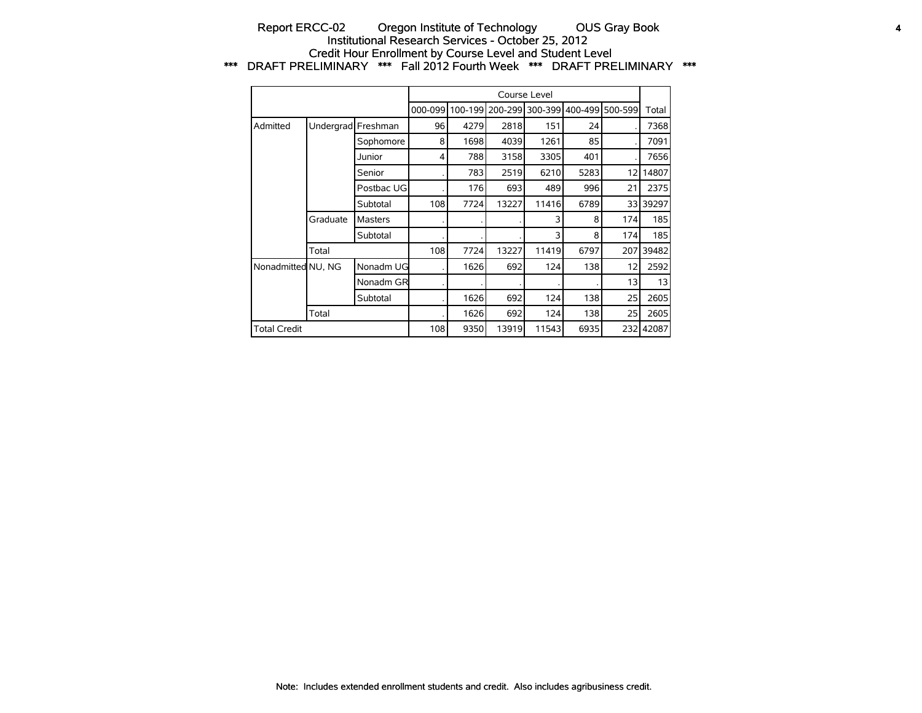## Report ERCC-02 Oregon Institute of Technology OUS Gray Book 4 Institutional Research Services - October 25, 2012 Credit Hour Enrollment by Course Level and Student Level \*\*\* DRAFT PRELIMINARY \*\*\* Fall 2012 Fourth Week \*\*\* DRAFT PRELIMINARY \*\*\*

|                     |          |                    |         |      |                         | Course Level |         |         |          |
|---------------------|----------|--------------------|---------|------|-------------------------|--------------|---------|---------|----------|
|                     |          |                    | 000-099 |      | 100-1991200-2991300-399 |              | 400-499 | 500-599 | Total    |
| Admitted            |          | Undergrad Freshman | 96      | 4279 | 2818                    | 151          | 24      |         | 7368     |
|                     |          | Sophomore          | 8       | 1698 | 4039                    | 1261         | 85      |         | 7091     |
|                     |          | Junior             | 4       | 788  | 3158                    | 3305         | 401     |         | 7656     |
|                     |          | Senior             |         | 783  | 2519                    | 6210         | 5283    | 12      | 14807    |
|                     |          | Postbac UG         |         | 176  | 693                     | 489          | 996     | 21      | 2375     |
|                     |          | Subtotal           | 108     | 7724 | 13227                   | 11416        | 6789    |         | 33 39297 |
|                     | Graduate | <b>Masters</b>     |         |      |                         | 3            | 8       | 174     | 185      |
|                     |          | Subtotal           |         |      |                         | 3            | 8       | 174     | 185      |
|                     | Total    |                    | 108     | 7724 | 13227                   | 11419        | 6797    | 207     | 39482    |
| Nonadmitted NU, NG  |          | Nonadm UG          |         | 1626 | 692                     | 124          | 138     | 12      | 2592     |
|                     |          | Nonadm GR          |         |      |                         |              |         | 13      | 13       |
|                     |          | Subtotal           |         | 1626 | 692                     | 124          | 138     | 25      | 2605     |
|                     | Total    |                    |         | 1626 | 692                     | 124          | 138     | 25      | 2605     |
| <b>Total Credit</b> |          |                    | 108     | 9350 | 13919                   | 11543        | 6935    | 232     | 42087    |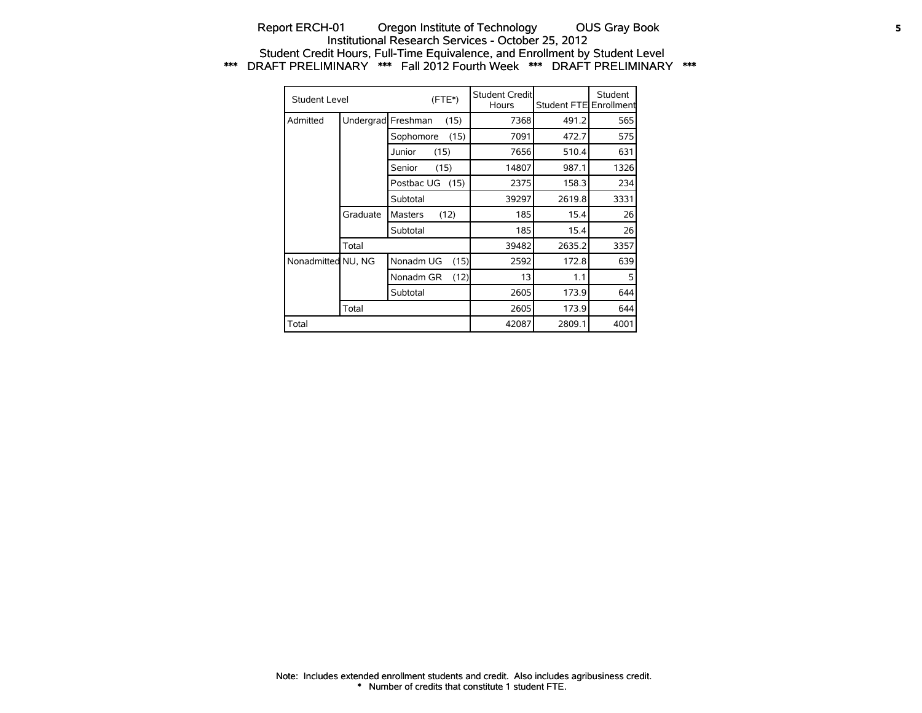## Report ERCH-01 Oregon Institute of Technology OUS Gray Book 5 Institutional Research Services - October 25, 2012 Student Credit Hours, Full-Time Equivalence, and Enrollment by Student Level \*\*\* DRAFT PRELIMINARY \*\*\* Fall 2012 Fourth Week \*\*\* DRAFT PRELIMINARY \*\*\*

| Student Level      |           |                | $(FTE*)$ | <b>Student Creditl</b><br>Hours | Student FTE Enrollment | Student |
|--------------------|-----------|----------------|----------|---------------------------------|------------------------|---------|
| Admitted           | Undergrad | Freshman       | (15)     | 7368                            | 491.2                  | 565     |
|                    |           | Sophomore      | (15)     | 7091                            | 472.7                  | 575     |
|                    |           | Junior         | (15)     | 7656                            | 510.4                  | 631     |
|                    |           | Senior         | (15)     | 14807                           | 987.1                  | 1326    |
|                    |           | Postbac UG     | (15)     | 2375                            | 158.3                  | 234     |
|                    |           | Subtotal       |          | 39297                           | 2619.8                 | 3331    |
|                    | Graduate  | <b>Masters</b> | (12)     | 185                             | 15.4                   | 26      |
|                    |           | Subtotal       |          | 185                             | 15.4                   | 26      |
|                    | Total     |                |          | 39482                           | 2635.2                 | 3357    |
| Nonadmitted NU, NG |           | Nonadm UG      | (15)     | 2592                            | 172.8                  | 639     |
|                    |           | Nonadm GR      | (12)     | 13                              | 1.1                    | 5       |
|                    |           | Subtotal       |          | 2605                            | 173.9                  | 644     |
|                    | Total     |                |          | 2605                            | 173.9                  | 644     |
| Total              |           |                |          | 42087                           | 2809.1                 | 4001    |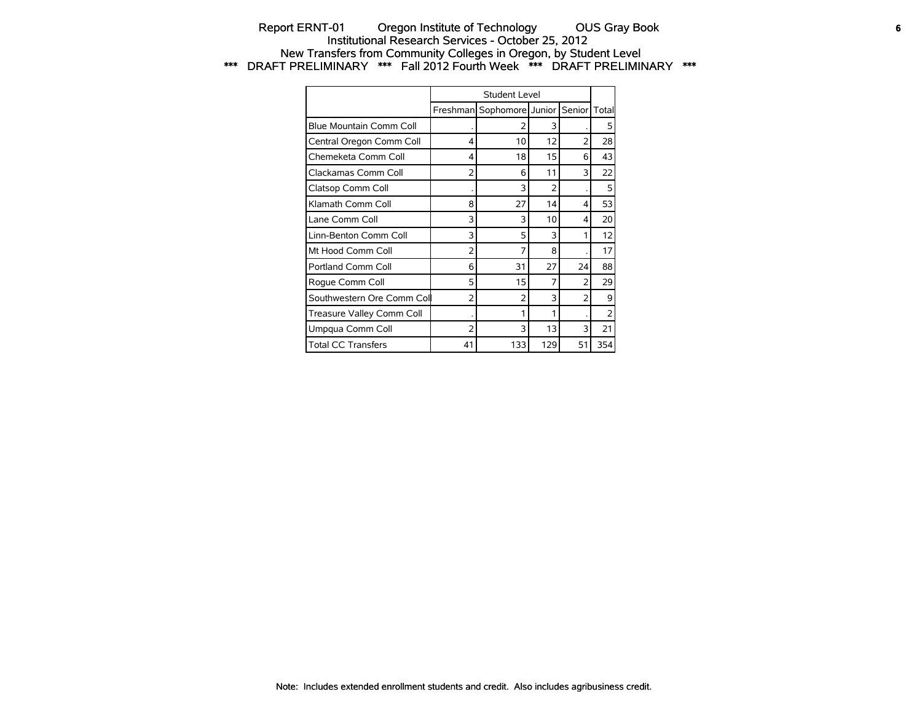## Report ERNT-01 Oregon Institute of Technology OUS Gray Book **6** Institutional Research Services - October 25, 2012 New Transfers from Community Colleges in Oregon, by Student Level \*\*\* DRAFT PRELIMINARY \*\*\* Fall 2012 Fourth Week \*\*\* DRAFT PRELIMINARY \*\*\*

|                           |                          | Student Level             |     |        |                |
|---------------------------|--------------------------|---------------------------|-----|--------|----------------|
|                           |                          | Freshman Sophomore Junior |     | Senior | Total          |
| Blue Mountain Comm Coll   |                          | 2                         | 3   |        | 5              |
| Central Oregon Comm Coll  | 4                        | 10                        | 12  | 2      | 28             |
| Chemeketa Comm Coll       | 4                        | 18                        | 15  | 6      | 43             |
| Clackamas Comm Coll       | 2                        | 6                         | 11  | 3      | 22             |
| Clatsop Comm Coll         |                          | 3                         | 2   |        | 5              |
| Klamath Comm Coll         | 8                        | 27                        | 14  | 4      | 53             |
| Lane Comm Coll            | 3                        | 3                         | 10  | 4      | 20             |
| Linn-Benton Comm Coll     | 3                        | 5                         | 3   | 1      | 12             |
| Mt Hood Comm Coll         | 2                        | 7                         | 8   |        | 17             |
| Portland Comm Coll        | 6                        | 31                        | 27  | 24     | 88             |
| Roque Comm Coll           | 5                        | 15                        | 7   | 2      | 29             |
| Southwestern Ore Comm Col | 2                        | $\overline{2}$            | 3   | 2      | 9              |
| Treasure Valley Comm Coll |                          | 1                         |     |        | $\overline{2}$ |
| Umpqua Comm Coll          | $\overline{\phantom{a}}$ | 3                         | 13  | 3      | 21             |
| <b>Total CC Transfers</b> | 41                       | 133                       | 129 | 51     | 354            |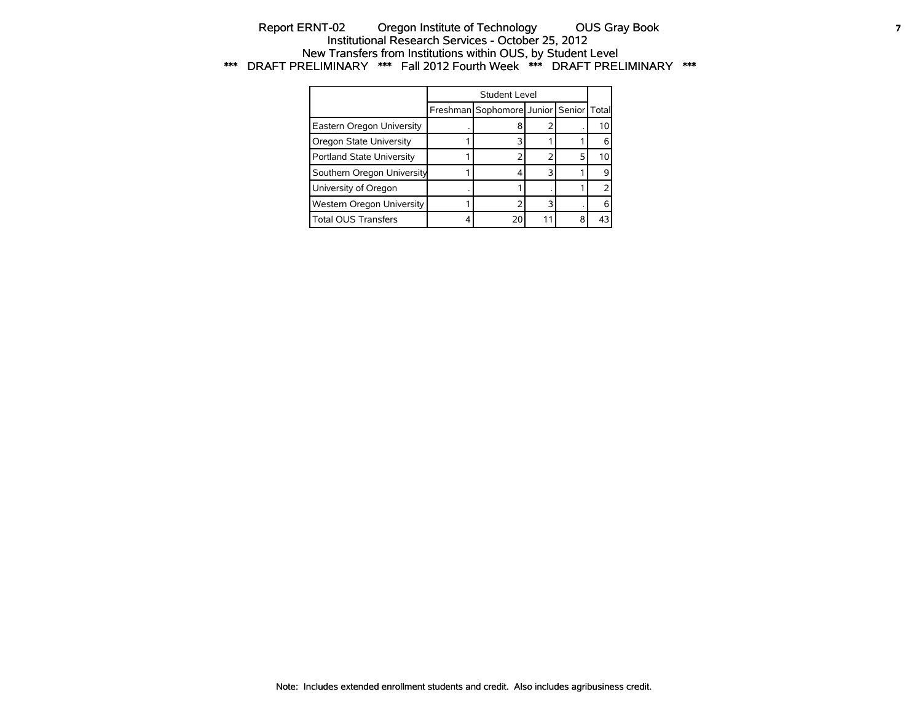## Report ERNT-02 Oregon Institute of Technology OUS Gray Book **7** Institutional Research Services - October 25, 2012 New Transfers from Institutions within OUS, by Student Level \*\*\* DRAFT PRELIMINARY \*\*\* Fall 2012 Fourth Week \*\*\* DRAFT PRELIMINARY \*\*\*

|                            | Student Level                          |    |   |    |
|----------------------------|----------------------------------------|----|---|----|
|                            | Freshman Sophomore Junior Senior Total |    |   |    |
| Eastern Oregon University  |                                        |    |   | 10 |
| Oregon State University    |                                        |    |   |    |
| Portland State University  |                                        |    |   | 10 |
| Southern Oregon University |                                        | ิว |   |    |
| University of Oregon       |                                        |    |   |    |
| Western Oregon University  |                                        | ิว |   |    |
| <b>Total OUS Transfers</b> |                                        |    | я |    |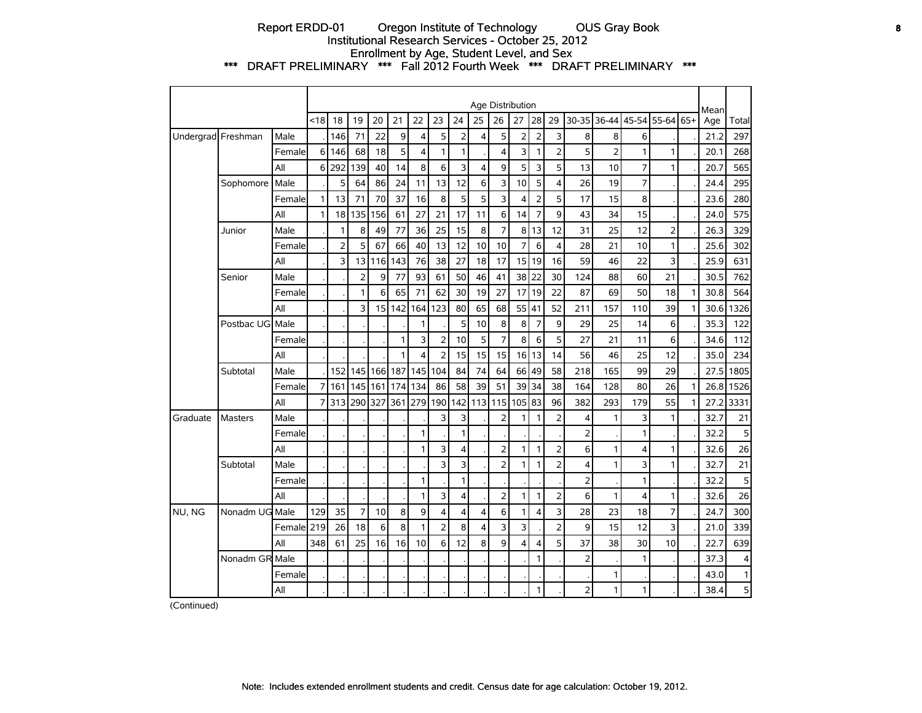## Report ERDD-01 Oregon Institute of Technology OUS Gray Book **8** Institutional Research Services - October 25, 2012 Enrollment by Age, Student Level, and Sex \*\*\* DRAFT PRELIMINARY \*\*\* Fall 2012 Fourth Week \*\*\* DRAFT PRELIMINARY \*\*\*

|          |                    |             |      |                |                |     |     |                         |                         |     |                | Age Distribution |                |                |                |                |                |                         |                       |              | Mean |       |
|----------|--------------------|-------------|------|----------------|----------------|-----|-----|-------------------------|-------------------------|-----|----------------|------------------|----------------|----------------|----------------|----------------|----------------|-------------------------|-----------------------|--------------|------|-------|
|          |                    |             | < 18 | 18             | 19             | 20  | 21  | 22                      | 23                      | 24  | 25             | 26               | 27             | 28             | 29             | 30-35          |                |                         | 36-44 45-54 55-64 65+ |              | Age  | Total |
|          | Undergrad Freshman | Male        |      | 146            | 71             | 22  | 9   | 4                       | 5                       | 2   | 4              | 5                | $\overline{2}$ | $\overline{2}$ | 3              | 8              | 8              | 6                       |                       |              | 21.2 | 297   |
|          |                    | Female      | 6    | 146            | 68             | 18  | 5   | 4                       | $\mathbf{1}$            | 1   |                | 4                | 3              | $\mathbf{1}$   | $\overline{2}$ | 5              | $\overline{2}$ | 1                       | 1                     |              | 20.1 | 268   |
|          |                    | All         | 6    | 292            | 139            | 40  | 14  | 8                       | 6                       | 3   | $\overline{4}$ | 9                | 5              | 3              | 5              | 13             | 10             | $\overline{7}$          | 1                     |              | 20.7 | 565   |
|          | Sophomore          | Male        |      | 5              | 64             | 86  | 24  | 11                      | 13                      | 12  | 6              | 3                | 10             | 5              | 4              | 26             | 19             | $\overline{7}$          |                       |              | 24.4 | 295   |
|          |                    | Female      | 1    | 13             | 71             | 70  | 37  | 16                      | 8                       | 5   | 5              | 3                | $\overline{4}$ | $\overline{2}$ | 5              | 17             | 15             | 8                       |                       |              | 23.6 | 280   |
|          |                    | All         | 1    | 18             | 135            | 156 | 61  | 27                      | 21                      | 17  | 11             | 6                | 14             | $\overline{7}$ | 9              | 43             | 34             | 15                      |                       |              | 24.0 | 575   |
|          | Junior             | Male        |      | 1              | 8              | 49  | 77  | 36                      | 25                      | 15  | 8              | $\overline{7}$   | 8              | 13             | 12             | 31             | 25             | 12                      | 2                     |              | 26.3 | 329   |
|          |                    | Female      |      | $\overline{2}$ | 5              | 67  | 66  | 40                      | 13                      | 12  | 10             | 10               | $\overline{7}$ | 6              | 4              | 28             | 21             | 10                      | 1                     |              | 25.6 | 302   |
|          |                    | All         |      | 3              | 13             | 116 | 143 | 76                      | 38                      | 27  | 18             | 17               | 15             | 19             | 16             | 59             | 46             | 22                      | 3                     |              | 25.9 | 631   |
|          | Senior             | Male        |      |                | $\overline{2}$ | 9   | 77  | 93                      | 61                      | 50  | 46             | 41               | 38             | 22             | 30             | 124            | 88             | 60                      | 21                    |              | 30.5 | 762   |
|          |                    | Female      |      |                | 1              | 6   | 65  | 71                      | 62                      | 30  | 19             | 27               | 17             | 19             | 22             | 87             | 69             | 50                      | 18                    | 1            | 30.8 | 564   |
|          |                    | All         |      |                | 3              | 15  | 142 | 164                     | 123                     | 80  | 65             | 68               | 55             | 41             | 52             | 211            | 157            | 110                     | 39                    | 1            | 30.6 | 1326  |
|          | Postbac UG         | Male        |      |                |                |     |     | $\mathbf{1}$            |                         | 5   | 10             | 8                | 8              | $\overline{7}$ | 9              | 29             | 25             | 14                      | 6                     |              | 35.3 | 122   |
|          |                    | Female      |      |                |                |     | 1   | $\overline{3}$          | $\overline{2}$          | 10  | 5              | $\overline{7}$   | 8              | 6              | 5              | 27             | 21             | 11                      | 6                     |              | 34.6 | 112   |
|          |                    | All         |      |                |                |     | 1   | $\overline{\mathbf{4}}$ | $\overline{2}$          | 15  | 15             | 15               | 16             | 13             | 14             | 56             | 46             | 25                      | 12                    |              | 35.0 | 234   |
|          | Subtotal           | Male        |      | 152            | 145            | 166 | 187 | 145                     | 104                     | 84  | 74             | 64               | 66             | 49             | 58             | 218            | 165            | 99                      | 29                    |              | 27.5 | 1805  |
|          |                    | Female      | 7    | 161            | 145            | 161 | 174 | 134                     | 86                      | 58  | 39             | 51               | 39             | 34             | 38             | 164            | 128            | 80                      | 26                    | $\mathbf{1}$ | 26.8 | 1526  |
|          |                    | All         | 7    | 313            | 290            | 327 | 361 | 279                     | 190                     | 142 | 113            | 115              | 105            | 83             | 96             | 382            | 293            | 179                     | 55                    | 1            | 27.2 | 3331  |
| Graduate | <b>Masters</b>     | Male        |      |                |                |     |     |                         | 3                       | 3   |                | 2                | 1              | $\mathbf{1}$   | 2              | 4              | 1              | 3                       | 1                     |              | 32.7 | 21    |
|          |                    | Female      |      |                |                |     |     | 1                       |                         | 1   |                |                  |                |                |                | $\overline{2}$ |                | 1                       |                       |              | 32.2 | 5     |
|          |                    | All         |      |                |                |     |     | $\mathbf{1}$            | 3                       | 4   |                | $\overline{2}$   | $\mathbf{1}$   | $\mathbf{1}$   | $\overline{2}$ | 6              | $\mathbf{1}$   | $\overline{\mathbf{4}}$ | 1                     |              | 32.6 | 26    |
|          | Subtotal           | Male        |      |                |                |     |     |                         | 3                       | 3   |                | $\overline{2}$   | 1              | $\mathbf{1}$   | $\overline{2}$ | 4              | 1              | 3                       | 1                     |              | 32.7 | 21    |
|          |                    | Female      |      |                |                |     |     | $\mathbf{1}$            |                         | 1   |                |                  |                |                |                | $\overline{2}$ |                | 1                       |                       |              | 32.2 | 5     |
|          |                    | All         |      |                |                |     |     | $\mathbf{1}$            | 3                       | 4   |                | $\overline{2}$   | $\mathbf{1}$   | 1              | $\overline{2}$ | 6              | $\mathbf{1}$   | $\overline{\mathbf{4}}$ | 1                     |              | 32.6 | 26    |
| NU, NG   | Nonadm UG Male     |             | 129  | 35             | $\overline{7}$ | 10  | 8   | 9                       | $\overline{\mathbf{4}}$ | 4   | 4              | 6                | $\mathbf{1}$   | $\overline{4}$ | 3              | 28             | 23             | 18                      | $\overline{7}$        |              | 24.7 | 300   |
|          |                    | Femalel 219 |      | 26             | 18             | 6   | 8   | $\mathbf{1}$            | $\overline{2}$          | 8   | 4              | 3                | 3              |                | 2              | 9              | 15             | 12                      | 3                     |              | 21.0 | 339   |
|          |                    | All         | 348  | 61             | 25             | 16  | 16  | 10                      | 6                       | 12  | 8              | 9                | 4              | $\overline{4}$ | 5              | 37             | 38             | 30                      | 10                    |              | 22.7 | 639   |
|          | Nonadm GR Male     |             |      |                |                |     |     |                         |                         |     |                |                  |                | $\mathbf{1}$   |                | $\overline{2}$ |                | 1                       |                       |              | 37.3 | 4     |
|          |                    | Female      |      |                |                |     |     |                         |                         |     |                |                  |                |                |                |                | 1              |                         |                       |              | 43.0 | 1     |
|          |                    | All         |      |                |                |     |     |                         |                         |     |                |                  |                | $\mathbf{1}$   |                | $\overline{2}$ | 1              | 1                       |                       |              | 38.4 | 5     |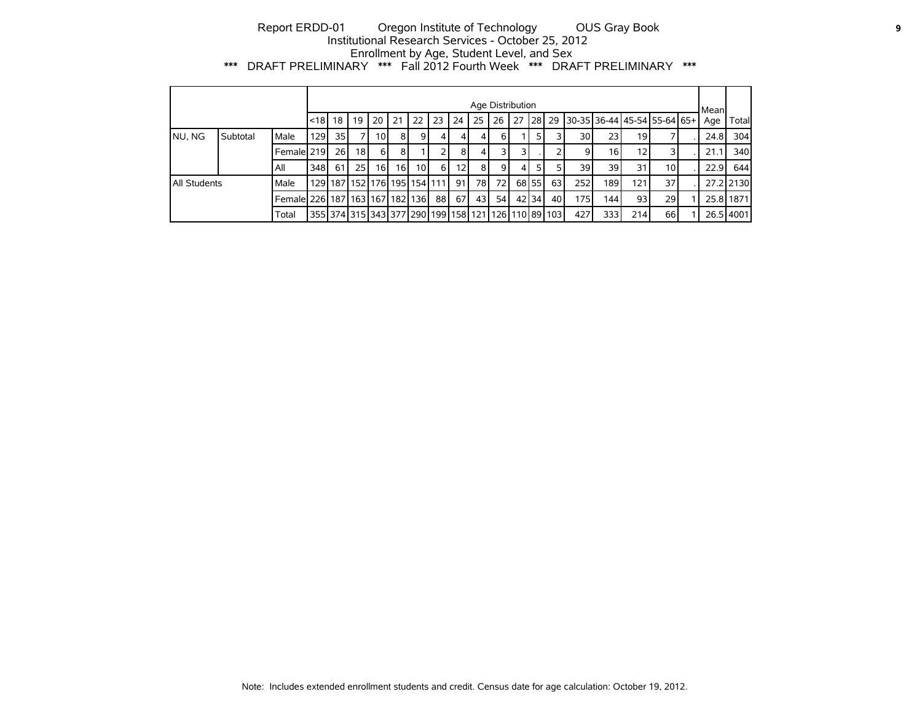## Report ERDD-01 Oregon Institute of Technology OUS Gray Book **9** Institutional Research Services - October 25, 2012 Enrollment by Age, Student Level, and Sex \*\*\* DRAFT PRELIMINARY \*\*\* Fall 2012 Fourth Week \*\*\* DRAFT PRELIMINARY \*\*\*

|                     |          |                                           |                                                                            |                 |                               |                 |                |          |              |     |                 | Age Distribution |     |       |                 |      |                 |                 |                               | Mean |           |
|---------------------|----------|-------------------------------------------|----------------------------------------------------------------------------|-----------------|-------------------------------|-----------------|----------------|----------|--------------|-----|-----------------|------------------|-----|-------|-----------------|------|-----------------|-----------------|-------------------------------|------|-----------|
|                     |          |                                           | l<18   18                                                                  |                 | 19                            | 20              | 21             | 22       | 23           | 24  | 25              | 26               | 127 |       | <b>28 29</b>    |      |                 |                 | 130-35136-44145-54155-64165+1 | Age  | Total     |
| NU, NG              | Subtotal | Male                                      | <b>129</b>                                                                 | 35 <sub>1</sub> |                               | 10 <sup>1</sup> | 8 <sup>1</sup> | $9 \mid$ |              | 41  | 4 <sup>1</sup>  | 6 I              |     | 51    |                 | 30   | 23 <sub>l</sub> | 19              |                               | 24.8 | 304       |
|                     |          | Female 219                                |                                                                            | 26              | 18 <sup>1</sup>               | 6 I             | 8              |          |              | 81  | 41              |                  | 31  |       |                 |      | 16 I            | 12              |                               | 21.1 | 340       |
|                     |          | All                                       | 348                                                                        | 61              | 25 <sub>l</sub>               | 16 <sup>1</sup> | 16 I           | 10 I     | <sup>6</sup> | 121 | 81              | 9 I              | 4   | 51    | 5.              | 39   | 39              | 31              | 10 <sub>1</sub>               | 22.9 | 644       |
| <b>All Students</b> |          | Male                                      |                                                                            |                 | 129 187 152 176 195 154 111 1 |                 |                |          |              | 91  | 78I             | 72 I             |     | 68 55 | 63 l            | 252  | 189             | 121.            | 37                            |      | 27.2 2130 |
|                     |          | Female  226   187   163   167   182   136 |                                                                            |                 |                               |                 |                |          | 88           | 67I | 43 <sup>1</sup> | 54 <sup>1</sup>  |     | 42 34 | 40 <sup>I</sup> | 1751 | 144             | 93 <sub>1</sub> | 29                            |      | 25.8 1871 |
|                     |          | Total                                     | 355   374   315   343   377   290   199   158   121   126   110   89   103 |                 |                               |                 |                |          |              |     |                 |                  |     |       |                 | 427  | 333             | 214             | 66                            |      | 26.5 4001 |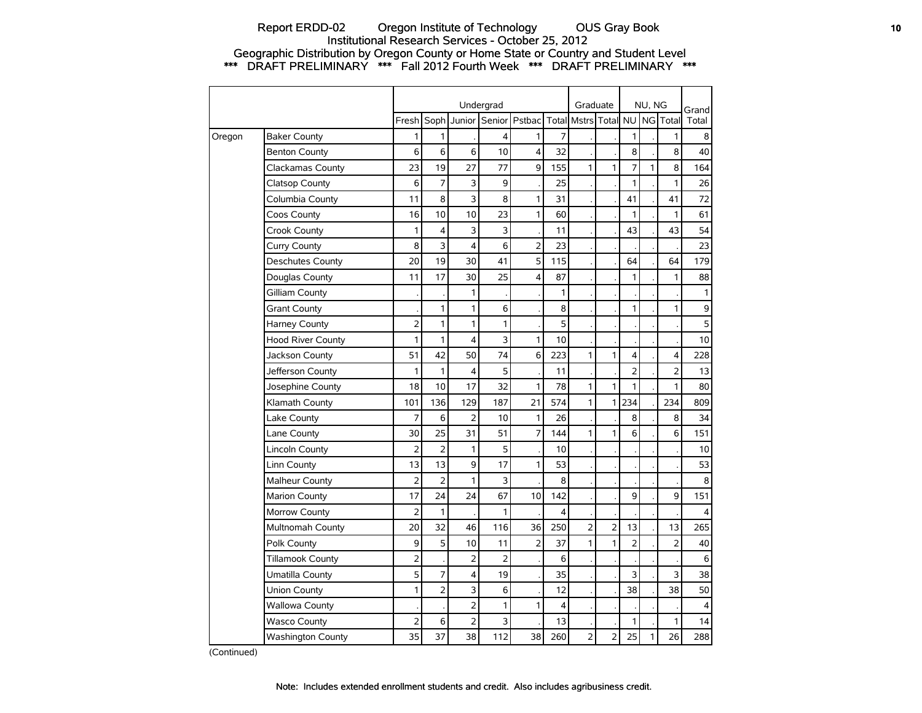## Report ERDD-02 Oregon Institute of Technology OUS Gray Book **10** 10 Institutional Research Services - October 25, 2012 Geographic Distribution by Oregon County or Home State or Country and Student Level \*\*\* DRAFT PRELIMINARY \*\*\* Fall 2012 Fourth Week \*\*\* DRAFT PRELIMINARY \*\*\*

|        |                          |                |                |                | Undergrad      |                |                         | Graduate       |                |                | NU, NG |                | Grand        |
|--------|--------------------------|----------------|----------------|----------------|----------------|----------------|-------------------------|----------------|----------------|----------------|--------|----------------|--------------|
|        |                          | Fresh          | Soph           | Junior         |                | Senior Pstbac  |                         | Total Mstrs    | Total          | <b>NU</b>      |        | NG Total       | Total        |
| Oregon | <b>Baker County</b>      | 1              | 1              |                | 4              | 1              | $\overline{7}$          |                |                | 1              |        | 1              | 8            |
|        | <b>Benton County</b>     | 6              | 6              | 6              | 10             | 4              | 32                      |                |                | 8              |        | 8              | 40           |
|        | Clackamas County         | 23             | 19             | 27             | 77             | 9              | 155                     | $\mathbf{1}$   | 1              | 7              | 1      | 8              | 164          |
|        | Clatsop County           | 6              | $\overline{7}$ | 3              | 9              |                | 25                      |                |                | 1              |        | $\mathbf{1}$   | 26           |
|        | Columbia County          | 11             | 8              | 3              | 8              | $\mathbf{1}$   | 31                      |                |                | 41             |        | 41             | 72           |
|        | Coos County              | 16             | 10             | 10             | 23             | 1              | 60                      |                |                | 1              |        | 1              | 61           |
|        | Crook County             | 1              | 4              | 3              | 3              |                | 11                      |                |                | 43             |        | 43             | 54           |
|        | Curry County             | 8              | 3              | $\overline{4}$ | 6              | 2              | 23                      |                |                |                |        |                | 23           |
|        | Deschutes County         | 20             | 19             | 30             | 41             | 5              | 115                     |                |                | 64             |        | 64             | 179          |
|        | Douglas County           | 11             | 17             | 30             | 25             | 4              | 87                      |                |                | 1              |        | 1              | 88           |
|        | Gilliam County           |                |                | 1              |                |                | 1                       |                |                |                |        |                | $\mathbf{1}$ |
|        | <b>Grant County</b>      |                | $\mathbf{1}$   | 1              | 6              |                | 8                       |                |                | 1              |        | 1              | $\mathsf 9$  |
|        | <b>Harney County</b>     | $\overline{2}$ | $\mathbf{1}$   | 1              | 1              |                | 5                       |                |                |                |        |                | 5            |
|        | <b>Hood River County</b> | 1              | $\mathbf{1}$   | $\overline{4}$ | 3              | 1              | 10                      |                |                |                |        |                | 10           |
|        | Jackson County           | 51             | 42             | 50             | 74             | 6              | 223                     | $\mathbf{1}$   | 1              | $\overline{4}$ |        | 4              | 228          |
|        | Jefferson County         | 1              | $\mathbf{1}$   | 4              | 5              |                | 11                      |                |                | $\overline{2}$ |        | $\overline{2}$ | 13           |
|        | Josephine County         | 18             | 10             | 17             | 32             | $\mathbf{1}$   | 78                      | $\mathbf{1}$   | 1              | 1              |        | 1              | 80           |
|        | Klamath County           | 101            | 136            | 129            | 187            | 21             | 574                     | $\mathbf{1}$   | 1              | 234            |        | 234            | 809          |
|        | Lake County              | 7              | 6              | $\overline{2}$ | 10             | 1              | 26                      |                |                | 8              |        | 8              | 34           |
|        | Lane County              | 30             | 25             | 31             | 51             | 7              | 144                     | $\mathbf{1}$   | 1              | 6              |        | 6              | 151          |
|        | <b>Lincoln County</b>    | $\overline{2}$ | $\overline{2}$ | 1              | 5              |                | 10                      |                |                |                |        |                | 10           |
|        | Linn County              | 13             | 13             | 9              | 17             | 1              | 53                      |                |                |                |        |                | 53           |
|        | <b>Malheur County</b>    | $\overline{2}$ | $\overline{2}$ | 1              | 3              |                | 8                       |                |                |                |        |                | 8            |
|        | <b>Marion County</b>     | 17             | 24             | 24             | 67             | 10             | 142                     |                |                | 9              |        | 9              | 151          |
|        | Morrow County            | $\overline{2}$ | $\mathbf{1}$   |                | 1              |                | $\overline{\mathbf{4}}$ |                |                |                |        |                | 4            |
|        | Multnomah County         | 20             | 32             | 46             | 116            | 36             | 250                     | $\overline{2}$ | $\overline{2}$ | 13             |        | 13             | 265          |
|        | Polk County              | 9              | 5              | 10             | 11             | $\overline{2}$ | 37                      | $\mathbf{1}$   | 1              | $\overline{2}$ |        | $\overline{2}$ | 40           |
|        | <b>Tillamook County</b>  | $\overline{2}$ |                | $\overline{2}$ | $\overline{2}$ |                | 6                       |                |                |                |        |                | 6            |
|        | Umatilla County          | 5              | $\overline{7}$ | 4              | 19             |                | 35                      |                |                | 3              |        | 3              | 38           |
|        | Union County             | $\mathbf{1}$   | $\overline{2}$ | 3              | 6              |                | 12                      |                |                | 38             |        | 38             | 50           |
|        | <b>Wallowa County</b>    |                |                | $\overline{2}$ | 1              | 1              | $\overline{4}$          |                |                |                |        |                | 4            |
|        | <b>Wasco County</b>      | $\overline{2}$ | 6              | 2              | 3              |                | 13                      |                |                | 1              |        | 1              | 14           |
|        | <b>Washington County</b> | 35             | 37             | 38             | 112            | 38             | 260                     | 2              | $\overline{2}$ | 25             | 1      | 26             | 288          |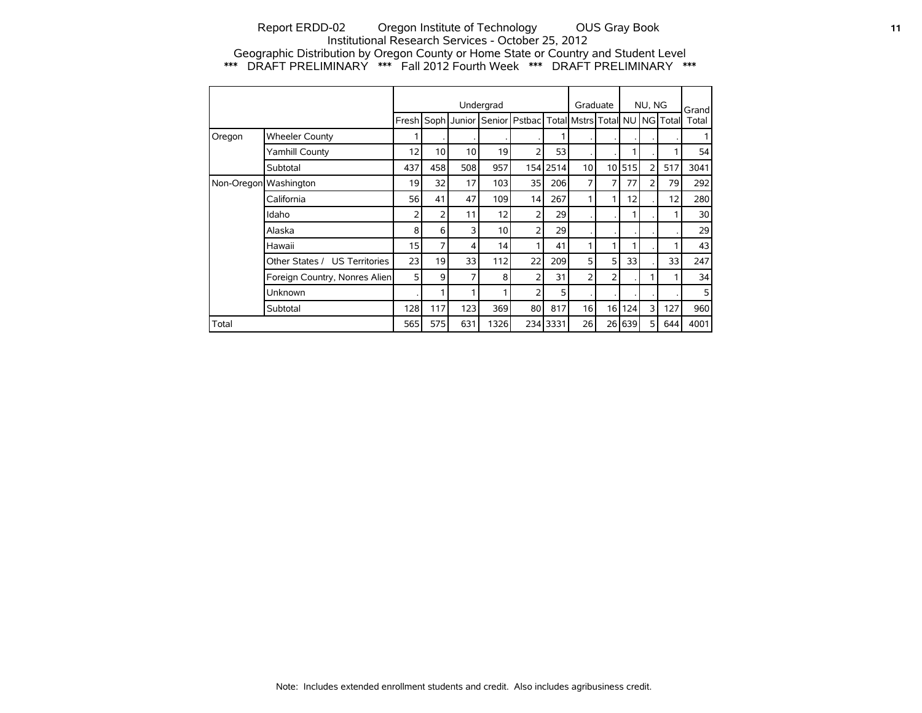## Report ERDD-02 Oregon Institute of Technology OUS Gray Book **11** Institutional Research Services - October 25, 2012 Geographic Distribution by Oregon County or Home State or Country and Student Level \*\*\* DRAFT PRELIMINARY \*\*\* Fall 2012 Fourth Week \*\*\* DRAFT PRELIMINARY \*\*\*

|                       |                               |       |     |                    | Undergrad       |                                                  |          | Graduate        |                 |     | NU, NG         |     | Grand           |
|-----------------------|-------------------------------|-------|-----|--------------------|-----------------|--------------------------------------------------|----------|-----------------|-----------------|-----|----------------|-----|-----------------|
|                       |                               | Fresh |     | Soph Junior Senior |                 | Pstbac   Total   Mstrs   Total   NU   NG   Total |          |                 |                 |     |                |     | Total           |
| Oregon                | <b>Wheeler County</b>         |       |     |                    |                 |                                                  |          |                 |                 |     |                |     |                 |
|                       | Yamhill County                | 12    | 10  | 10                 | 19              | 2                                                | 53       |                 |                 |     |                |     | 54              |
|                       | Subtotal                      | 437   | 458 | 508                | 957             |                                                  | 154 2514 | 10 <sup>1</sup> | 10 <sup>1</sup> | 515 | $\overline{2}$ | 517 | 3041            |
| Non-Oregon Washington |                               | 19    | 32  | 17                 | 103             | 35                                               | 206      | $\overline{7}$  | 7               | 77  | 2              | 79  | 292             |
|                       | California                    | 56    | 41  | 47                 | 109             | 14                                               | 267      | 1               |                 | 12  |                | 12  | 280             |
|                       | Idaho                         | 2     | 2   | 11                 | 12              | 2                                                | 29       |                 |                 |     |                |     | 30 <sup>1</sup> |
|                       | Alaska                        | 8     | 6   | 3                  | 10 <sup>1</sup> | 2                                                | 29       |                 |                 |     |                |     | 29              |
|                       | Hawaii                        | 15    | 7   | 4                  | 14              | 1                                                | 41       | 1               |                 |     |                |     | 43              |
|                       | Other States / US Territories | 23    | 19  | 33                 | 112             | 22                                               | 209      | 5 <sup>1</sup>  | 5               | 33  |                | 33  | 247             |
|                       | Foreign Country, Nonres Alien | 5     | 9   | 7                  | 8               | 2                                                | 31       | 2               | 2               |     |                |     | 34              |
|                       | Unknown                       |       |     |                    |                 | 2                                                | 5        |                 |                 |     |                |     | 5               |
|                       | Subtotal                      | 128   | 117 | 123                | 369             | 80                                               | 817      | 16 <sup>1</sup> | 16              | 124 | 3              | 127 | 960             |
| Total                 |                               | 565   | 575 | 631                | 1326            |                                                  | 234 3331 | 26              | 26 l            | 639 | 5              | 644 | 4001            |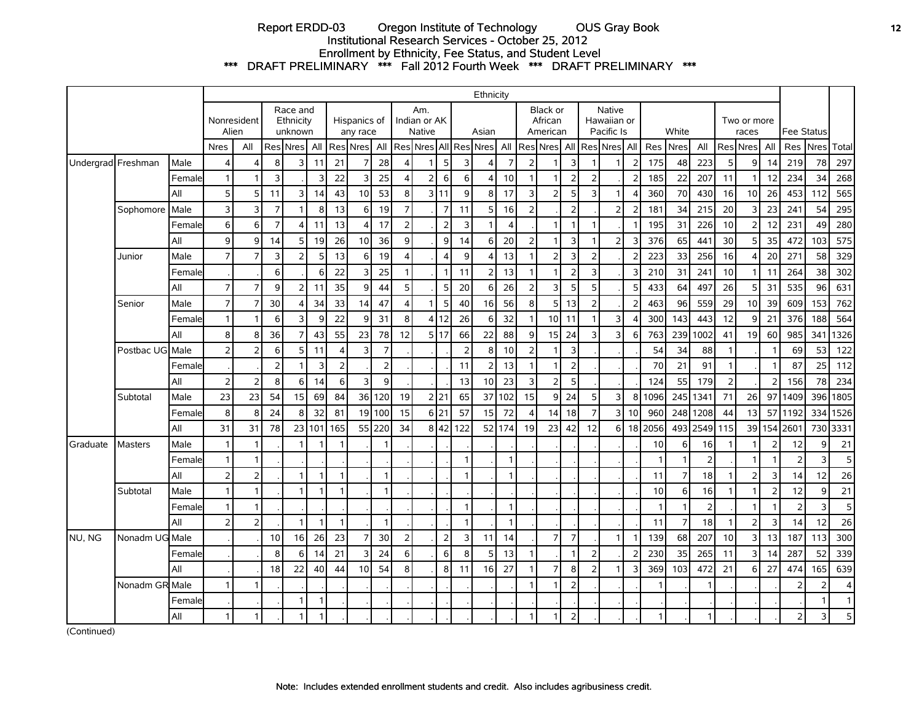## Report ERDD-03 Oregon Institute of Technology OUS Gray Book **12** Institutional Research Services - October 25, 2012 Enrollment by Ethnicity, Fee Status, and Student Level \*\*\* DRAFT PRELIMINARY \*\*\* Fall 2012 Fourth Week \*\*\* DRAFT PRELIMINARY \*\*\*

|                    |                 |        |                |                |                  |                                  |        |                |                          |                |                |                                      |                |                | Ethnicity |                |                |                                 |                |                |                                            |                |              |                |                |              |                         |                |                |      |                |
|--------------------|-----------------|--------|----------------|----------------|------------------|----------------------------------|--------|----------------|--------------------------|----------------|----------------|--------------------------------------|----------------|----------------|-----------|----------------|----------------|---------------------------------|----------------|----------------|--------------------------------------------|----------------|--------------|----------------|----------------|--------------|-------------------------|----------------|----------------|------|----------------|
|                    |                 |        | Alien          | Nonresident    |                  | Race and<br>Ethnicity<br>unknown |        |                | Hispanics of<br>any race |                |                | Am.<br>Indian or AK<br><b>Native</b> |                |                | Asian     |                |                | Black or<br>African<br>American |                |                | <b>Native</b><br>Hawaiian or<br>Pacific Is |                |              | White          |                |              | Two or more<br>races    |                | Fee Status     |      |                |
|                    |                 |        | <b>Nres</b>    | All            |                  | ReslNresl                        | All    |                | Res Nres                 | All            |                | Res Nres All Res                     |                |                | Nres      | All            |                | Res Nres All Res Nres All       |                |                |                                            |                | Res Nres     |                | All            |              | Res Nres                | All            | Res            | Nres | Total          |
| Undergrad Freshman |                 | Male   | $\overline{4}$ | 4              | 8                | $\overline{3}$                   | 11     | 21             | 7                        | 28             | 4              |                                      | 5              | 3              | Δ         | 7              | $\overline{2}$ |                                 | $\overline{3}$ |                |                                            | 2              | 175          | 48             | 223            | 5            | $\overline{9}$          | 14             | 219            | 78   | 297            |
|                    |                 | Female | $\mathbf{1}$   |                | 3                |                                  | 3      | 22             | 3                        | 25             | $\overline{4}$ | $\overline{2}$                       | 6              | 6              | Δ         | 10             | $\mathbf{1}$   | 1                               | $\overline{2}$ | $\overline{2}$ |                                            | $\overline{2}$ | 185          | 22             | 207            | 11           | 1                       | 12             | 234            | 34   | 268            |
|                    |                 | All    | 5 <sup>1</sup> | 5              | 11               | $\overline{3}$                   | 14     | 43             | 10                       | 53             | 8 <sup>1</sup> | $\overline{3}$                       | 11             | 9              | 8         | 17             | 3              | $\overline{2}$                  | 5              | 3              |                                            | 4              | 360          | 70             | 430            | 16           | 10 <sup>1</sup>         | 26             | 453            | 112  | 565            |
|                    | Sophomore       | Male   | 3              | 3              | $\overline{7}$   |                                  | 8      | 13             | 6                        | 19             | $\overline{7}$ |                                      | $\overline{7}$ | 11             | 5         | 16             | $\overline{2}$ |                                 | $\overline{2}$ |                | 2 <sup>1</sup>                             | $\overline{2}$ | 181          | 34             | 215            | 20           | 3                       | 23             | 241            | 54   | 295            |
|                    |                 | Female | 6              | 6              | $\overline{7}$   | $\overline{4}$                   | 11     | 13             | 4                        | 17             | 2 <sup>1</sup> |                                      | $\overline{2}$ | 3              | 1         | $\overline{4}$ |                | 1                               | $\mathbf{1}$   | $\mathbf{1}$   |                                            | -1             | 195          | 31             | 226            | 10           | $\overline{2}$          | 12             | 231            | 49   | 280            |
|                    |                 | All    | 9              | 9              | 14               | 5 <sup>1</sup>                   | 19     | 26             | 10                       | 36             | $\overline{9}$ |                                      | 9              | 14             | 6         | 20             | $\overline{2}$ | 1                               | 3              | 1              | $\overline{2}$                             | 3              | 376          | 65             | 441            | 30           | 5                       | 35             | 472            | 103  | 575            |
|                    | Junior          | Male   | $\overline{7}$ | $\overline{7}$ | $\overline{3}$   | 2 <sup>1</sup>                   | 5      | 13             | 6                        | 19             | $\overline{4}$ |                                      | $\overline{4}$ | 9              | Δ         | 13             | $\mathbf{1}$   | $\overline{2}$                  | $\mathbf{3}$   | $\overline{2}$ |                                            | $\overline{2}$ | 223          | 33             | 256            | 16           | 4                       | 20             | 271            | 58   | 329            |
|                    |                 | Female |                |                | 6                |                                  | 6      | 22             | 3                        | 25             | $\mathbf{1}$   |                                      | $\mathbf{1}$   | 11             | 2         | 13             |                | $\mathbf{1}$                    | $\overline{2}$ | 3              |                                            | 3              | 210          | 31             | 241            | 10           |                         | 11             | 264            | 38   | 302            |
|                    |                 | All    | $\overline{7}$ | $\overline{7}$ | 9                | 2 <sup>1</sup>                   | 11     | 35             | 9                        | 44             | 5 <sup>1</sup> |                                      | 5              | 20             | 6         | 26             | $\overline{2}$ | 3                               | 5              | 5              |                                            | 5              | 433          | 64             | 497            | 26           | 5                       | 31             | 535            | 96   | 631            |
|                    | Senior          | Male   | $\overline{7}$ | 7              | 30 <sup>°</sup>  | 4                                | 34     | 33             | 14                       | 47             | $\overline{4}$ |                                      | 5              | 40             | 16        | 56             | 8              | 5 <sub>l</sub>                  | 13             | $\overline{2}$ |                                            | $\overline{2}$ | 463          | 96             | 559            | 29           | 10                      | 39             | 609            | 153  | 762            |
|                    |                 | Female | $\mathbf{1}$   | $\mathbf{1}$   | 6                | $\overline{3}$                   | 9      | 22             | 9                        | 31             | 8 <sup>1</sup> | $\overline{4}$                       | 12             | 26             | 6         | 32             | $\mathbf{1}$   | 10 <sup>1</sup>                 | 11             | $\mathbf{1}$   | $\overline{\mathsf{3}}$                    | $\overline{4}$ | 300          | 143            | 443            | 12           | 9                       | 21             | 376            | 188  | 564            |
|                    |                 | All    | 8              | 8              | 36               | $\overline{7}$                   | 43     | 55             | 23                       | 78             | 12             |                                      | 5117           | 66             | 22        | 88             | 9              | 15                              | 24             | 3              | 3                                          | 6              | 763          | 239            | 1002           | 41           | 19                      | 60             | 985            | 341  | 1326           |
|                    | Postbac UG Male |        | 2 <sup>1</sup> | $\overline{2}$ | $6 \overline{6}$ | $\mathsf{5}$                     | 11     | $\overline{4}$ | 3                        | $\overline{7}$ |                |                                      |                | $\overline{2}$ | 8         | 10             | $\overline{2}$ | 1                               | $\mathbf{3}$   |                |                                            |                | 54           | 34             | 88             | $\mathbf{1}$ |                         | $\mathbf{1}$   | 69             | 53   | 122            |
|                    |                 | Female |                |                | $\overline{2}$   |                                  | 3      | $\overline{2}$ |                          | 2              |                |                                      |                | 11             | フ         | 13             | $\mathbf 1$    | 1                               | $\overline{2}$ |                |                                            |                | 70           | 21             | 91             |              |                         | -1             | 87             | 25   | 112            |
|                    |                 | All    | 2              | $\overline{2}$ | 8                | $6 \mid$                         | 14     | 6              | 3                        | 9              |                |                                      |                | 13             | 10        | 23             | 3              | 2                               | 5              |                |                                            |                | 124          | 55             | 179            | 2            |                         | 2              | 156            | 78   | 234            |
|                    | Subtotal        | Male   | 23             | 23             | 54               | 15 <sup>1</sup>                  | 69     | 84             |                          | 36 120         | 19             |                                      | 2 21           | 65             | 37        | 1102           | 15             | $\overline{9}$                  | 24             | 5              | $\overline{3}$                             | 8 <sup>1</sup> | 1096         | 245            | 1341           | 71           | 26                      | 97             | 1409           | 396  | 1805           |
|                    |                 | Female | 8              | 8              | 24               | 8                                | 32     | 81             |                          | 19 100         | 15             | $6 \mid$                             | 21             | 57             | 15        | 72             | $\overline{4}$ | 14                              | 18             | $\overline{7}$ | $\overline{3}$                             | 10             | 960          | 248            | 1208           | 44           | 13 <sup>1</sup>         | 57             | 1192           | 334  | 1526           |
|                    |                 | All    | 31             | 31             | 78               |                                  | 23 101 | 165            |                          | 55 220         | 34             | 8                                    | 42             | 122            |           | 52 174         | 19             | 23                              | 42             | 12             | 6 I                                        | 18             | 2056         | 493            | 2549           | 115          |                         | 39 154         | 2601           | 730  | 3331           |
| Graduate           | <b>Masters</b>  | Male   | $\mathbf{1}$   | $\mathbf{1}$   |                  |                                  |        | 1              |                          |                |                |                                      |                |                |           |                |                |                                 |                |                |                                            |                | 10           | 6              | 16             |              | 1                       | $\overline{2}$ | 12             | 9    | 21             |
|                    |                 | Female | $\mathbf{1}$   | $\mathbf{1}$   |                  |                                  |        |                |                          |                |                |                                      |                |                |           | $\mathbf{1}$   |                |                                 |                |                |                                            |                | $\mathbf{1}$ | $\mathbf{1}$   | $\overline{2}$ |              | $\mathbf{1}$            | $\mathbf{1}$   | $\overline{2}$ | 3    | 5              |
|                    |                 | All    | 2              | $\overline{2}$ |                  |                                  |        | $\mathbf{1}$   |                          |                |                |                                      |                | 1              |           | $\mathbf{1}$   |                |                                 |                |                |                                            |                | 11           | $\overline{7}$ | 18             |              | $\overline{2}$          | 3              | 14             | 12   | 26             |
|                    | Subtotal        | Male   |                | $\mathbf{1}$   |                  |                                  |        | $\mathbf{1}$   |                          |                |                |                                      |                |                |           |                |                |                                 |                |                |                                            |                | 10           | 6              | 16             |              | $\mathbf{1}$            | $\overline{2}$ | 12             | 9    | 21             |
|                    |                 | Female | $\mathbf{1}$   | $\mathbf{1}$   |                  |                                  |        |                |                          |                |                |                                      |                | $\overline{1}$ |           | $\mathbf{1}$   |                |                                 |                |                |                                            |                | $\mathbf{1}$ | $\mathbf{1}$   | $\overline{2}$ |              | $\mathbf{1}$            | $\overline{1}$ | $\overline{2}$ | 3    | 5              |
|                    |                 | All    | 2              | $\overline{2}$ |                  | -1                               | 1      | $\overline{1}$ |                          | $\mathbf{1}$   |                |                                      |                | $\mathbf{1}$   |           | $\mathbf{1}$   |                |                                 |                |                |                                            |                | 11           | $\overline{7}$ | 18             |              | $\overline{2}$          | 3              | 14             | 12   | 26             |
| NU, NG             | Nonadm UG Male  |        |                |                | 10 <sup>1</sup>  | 16                               | 26     | 23             | $\overline{7}$           | 30             | $\overline{2}$ |                                      | $\overline{2}$ | 3              | 11        | 14             |                | $\overline{7}$                  | $\overline{7}$ |                | 1                                          |                | 139          | 68             | 207            | 10           | $\overline{\mathbf{3}}$ | 13             | 187            | 113  | 300            |
|                    |                 | Female |                |                | 8                | $6 \mid$                         | 14     | 21             | 3                        | 24             | 6 <sup>1</sup> |                                      | 6              | 8              | 5         | 13             | $\mathbf{1}$   |                                 | $\mathbf{1}$   | $\overline{2}$ |                                            | 2              | 230          | 35             | 265            | 11           | 3                       | 14             | 287            | 52   | 339            |
|                    |                 | All    |                |                | 18               | 22                               | 40     | 44             | 10                       | 54             | 8              |                                      | 8              | 11             | 16        | 27             |                | 7                               | 8              | $\overline{2}$ |                                            | 3              | 369          | 103            | 472            | 21           | 6                       | 27             | 474            | 165  | 639            |
|                    | Nonadm GR Male  |        |                |                |                  |                                  |        |                |                          |                |                |                                      |                |                |           |                | $\mathbf{1}$   |                                 | $\overline{2}$ |                |                                            |                |              |                | 1              |              |                         |                | $\overline{2}$ | 2    | $\overline{4}$ |
|                    |                 | Female |                |                |                  | 1                                | 1      |                |                          |                |                |                                      |                |                |           |                |                |                                 |                |                |                                            |                |              |                |                |              |                         |                |                |      | $\mathbf{1}$   |
|                    |                 | All    | $\mathbf{1}$   | $\mathbf{1}$   |                  |                                  |        |                |                          |                |                |                                      |                |                |           |                | $\mathbf{1}$   |                                 | $\overline{2}$ |                |                                            |                | 1            |                | 1              |              |                         |                | $\overline{2}$ | 3    | 5              |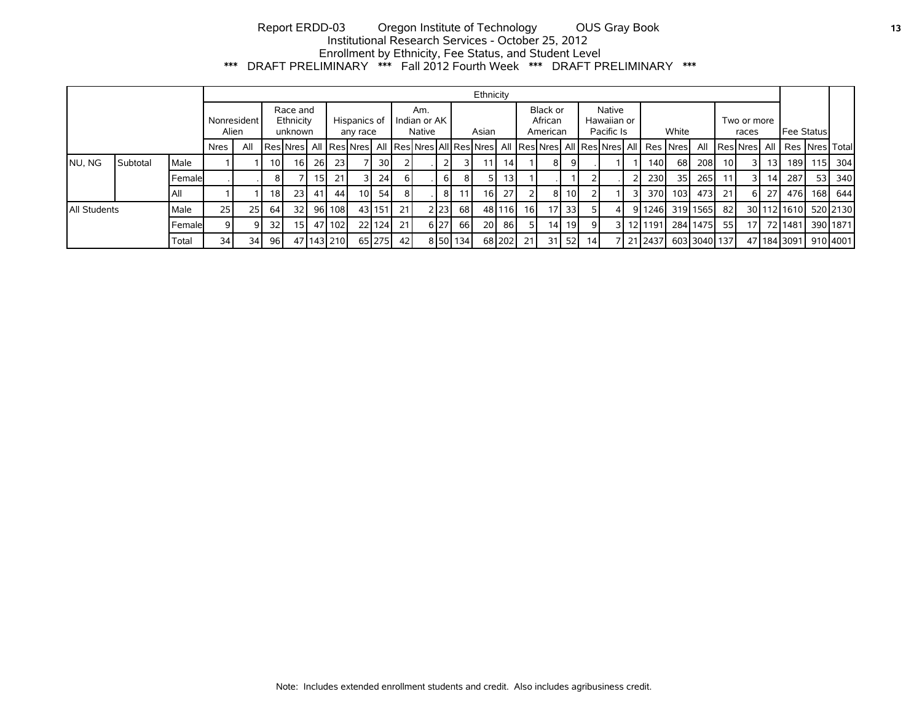# Report ERDD-03 Oregon Institute of Technology OUS Gray Book **13** Institutional Research Services - October 25, 2012 Enrollment by Ethnicity, Fee Status, and Student Level \*\*\* DRAFT PRELIMINARY \*\*\* Fall 2012 Fourth Week \*\*\* DRAFT PRELIMINARY \*\*\*

|                      |          |           |             |                 |                 |                                  |      |                          |                 |                               |            |       |          |          | Ethnicity                       |         |                                            |                 |                 |                |    |                                                                                                    |                      |              |       |                 |                 |                                           |     |          |
|----------------------|----------|-----------|-------------|-----------------|-----------------|----------------------------------|------|--------------------------|-----------------|-------------------------------|------------|-------|----------|----------|---------------------------------|---------|--------------------------------------------|-----------------|-----------------|----------------|----|----------------------------------------------------------------------------------------------------|----------------------|--------------|-------|-----------------|-----------------|-------------------------------------------|-----|----------|
| Nonresident<br>Alien |          |           |             |                 |                 | Race and<br>Ethnicity<br>unknown |      | Hispanics of<br>any race |                 | Am.<br>Indian or AK<br>Native |            | Asian |          |          | Black or<br>African<br>American |         | <b>Native</b><br>Hawaiian or<br>Pacific Is |                 | White           |                |    |                                                                                                    | Two or more<br>races |              |       | Fee Status      |                 |                                           |     |          |
|                      |          |           | <b>Nres</b> | All             |                 |                                  |      |                          |                 |                               |            |       |          |          |                                 |         |                                            |                 |                 |                |    | Res Nres  All  Res Nres  All  Res Nres All Res Nres  All  Res Nres  All  Res Nres  All   Res  Nres |                      | All          |       |                 |                 | <b>IResINresI All I Res INresI Totall</b> |     |          |
| NU, NG               | Subtotal | Male      |             |                 | 10 I            | 16 I                             | 26 I | <b>231</b>               |                 | 30 <sup>1</sup>               |            |       |          | 31       |                                 | 14      |                                            | 81              |                 |                |    | 140 l                                                                                              | 68                   | 208          | 10 I  | 3 I             | 13 <sup>1</sup> | 189 l                                     | 115 | -304 l   |
|                      |          | l Femalel |             |                 | 8               |                                  | 15 I | 211                      |                 | 24                            | 6 I        |       | $6 \mid$ | 81       |                                 | 13 I    |                                            |                 |                 |                |    | 230                                                                                                | 35                   | 265          | -11 I | 31              | 14 I            | 287                                       | 53  | 340 l    |
|                      |          | l All     |             |                 | 18 <sub>1</sub> | 23 <sub>l</sub>                  | 41 I | 44                       | 10 <sup>1</sup> | 54                            | 81         |       | 8        | 11 I     | 16 <sup>1</sup>                 | 27      |                                            | 81              | 10 <sup>1</sup> |                |    | 370 l                                                                                              | 103 <sub>l</sub>     | 4731         | -211  | 61              | 27              | 476 l                                     |     | 168 644  |
| All Students         |          | Male      | 25 l        | 25 <sub>l</sub> | 64              | 32 l                             |      | 96 I 108 I               |                 | 43 151                        | <b>21</b>  |       | 2 2 2 3  | 68 I     |                                 | 4811161 | 16 I                                       | 17 <sup>1</sup> | 33 I            |                | 41 | 9 1246                                                                                             |                      | 319 1565     | 821   |                 |                 | 30 112 1610                               |     | 520 2130 |
|                      |          | l Femalel |             | 9               | 32              | 15 <sup>1</sup>                  |      | 47 102                   |                 | 22 124                        | <b>211</b> |       | 6 27     | 66 I     | 20 <sup>1</sup>                 | 86 I    |                                            | 14 <sup>1</sup> | 19 I            | $\overline{9}$ |    | 3 12 1191                                                                                          |                      | 284 1475     | -55 I | 17 <sup>1</sup> |                 | 72 1481                                   |     | 390 1871 |
|                      |          | Total     | 34 l        | 34              | 96              |                                  |      | 47 143 210               |                 | 65 275                        | 42         |       |          | 8 50 134 |                                 | 68 202  | 21                                         |                 | $31$ 52         | 14             |    | 7 21 2437                                                                                          |                      | 603 3040 137 |       |                 |                 | 47 184 3091                               |     | 910 4001 |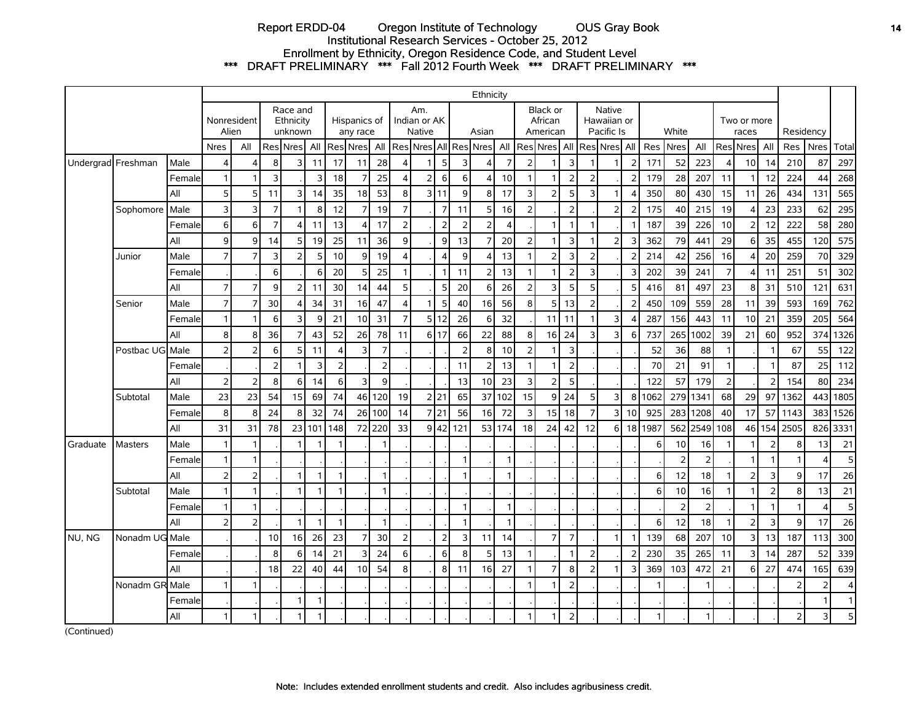## Report ERDD-04 Oregon Institute of Technology OUS Gray Book **14** Institutional Research Services - October 25, 2012 Enrollment by Ethnicity, Oregon Residence Code, and Student Level \*\*\* DRAFT PRELIMINARY \*\*\* Fall 2012 Fourth Week \*\*\* DRAFT PRELIMINARY \*\*\*

|          |                    |        |                |                      |                |                                  |              |                  |                          |                |                         |                               |                |                         | Ethnicity       |                |                |                                        |                |                |                                            |                          |              |                |                |                         |                 |                |                          |                         |              |
|----------|--------------------|--------|----------------|----------------------|----------------|----------------------------------|--------------|------------------|--------------------------|----------------|-------------------------|-------------------------------|----------------|-------------------------|-----------------|----------------|----------------|----------------------------------------|----------------|----------------|--------------------------------------------|--------------------------|--------------|----------------|----------------|-------------------------|-----------------|----------------|--------------------------|-------------------------|--------------|
|          |                    |        |                | Nonresident<br>Alien |                | Race and<br>Ethnicity<br>unknown |              |                  | Hispanics of<br>any race |                |                         | Am.<br>Indian or AK<br>Native |                |                         | Asian           |                |                | <b>Black or</b><br>African<br>American |                |                | <b>Native</b><br>Hawaiian or<br>Pacific Is |                          |              | White          |                | Two or more<br>races    |                 |                | Residency                |                         |              |
|          |                    |        | <b>Nres</b>    | All                  |                | Res Nres                         | All          |                  | <b>Res</b> Nres          | All            |                         | Res Nres All                  |                |                         | Res Nres        | All            |                | <b>Res Nres All</b>                    |                |                | Res Nres                                   | All                      | Res          | <b>Nres</b>    | All            | Res                     | <b>Nres</b>     | All            | Res                      | <b>Nres</b>             | Total        |
|          | Undergrad Freshman | Male   | 4              | $\overline{4}$       | 8              | 3                                | 11           | 17               | 11                       | 28             | $\overline{4}$          | $\mathbf{1}$                  | 5 <sup>1</sup> | $\overline{\mathsf{3}}$ | $\overline{4}$  | 7              | $\overline{2}$ | 1                                      | 3              | 1              | 1                                          | 2                        | 171          | 52             | 223            | $\overline{4}$          | 10 <sup>1</sup> | 14             | 210                      | 87                      | 297          |
|          |                    | Female | $\mathbf{1}$   | 1                    | 3              |                                  | 3            | 18               |                          | 25             | $\Delta$                | 2                             | $6 \mid$       | 6 <sup>1</sup>          | 4               | 10             |                |                                        |                | 2              |                                            | 2                        | 179          | 28             | 207            | 11                      |                 | 12             | 224                      | 44                      | 268          |
|          |                    | All    | 5              | 5                    | 11             | 3                                | 14           | 35               | 18                       | 53             | 8                       |                               | 3111           | 9                       | 8               | 17             | 3              | $\overline{2}$                         | 5              | 3              | 1                                          |                          | 350          | 80             | 430            | 15                      | 11              | 26             | 434                      | 131                     | 565          |
|          | Sophomore          | Male   | 3              | 3                    | $\overline{7}$ | 1                                | 8            | 12               | 7 <sup>1</sup>           | 19             | $\overline{7}$          |                               | 7              | 11                      | 5               | 16             | 2              |                                        | $\overline{2}$ |                | $\overline{2}$                             | $\overline{z}$           | 175          | 40             | 215            | 19                      | 4               | 23             | 233                      | 62                      | 295          |
|          |                    | Female | 6              | 6                    | $\overline{7}$ | 4                                | 11           | 13               | 4                        | 17             | $\overline{2}$          |                               | $\overline{2}$ | $\overline{2}$          | $\overline{2}$  | 4              |                | $\mathbf{1}$                           | -1             | 1              |                                            |                          | 187          | 39             | 226            | 10                      | 2               | 12             | 222                      | 58                      | 280          |
|          |                    | All    | 9              | $\overline{9}$       | 14             | 5                                | 19           | 25               | 11                       | 36             | $\mathbf{9}$            |                               | 9              | 13                      | $\overline{7}$  | 20             | 2              | -1                                     | 3              |                | $\overline{2}$                             | 3                        | 362          | 79             | 441            | 29                      | 6               | 35             | 455                      | 120                     | 575          |
|          | Junior             | Male   | $\overline{7}$ | $\overline{7}$       | 3              | $\overline{2}$                   | 5            | 10               | $\overline{9}$           | 19             | $\overline{\mathbf{A}}$ |                               | 4              | $\overline{9}$          | $\overline{4}$  | 13             |                | 2 <sup>1</sup>                         | 3              | $\overline{2}$ |                                            | $\overline{2}$           | 214          | 42             | 256            | 16                      | 4               | 20             | 259                      | 70                      | 329          |
|          |                    | Female |                |                      | 6              |                                  | 6            | 20               | 5 <sup>1</sup>           | 25             | $\mathbf{1}$            |                               | -1             | 11                      | $\overline{2}$  | 13             |                |                                        | $\mathcal{P}$  | 3              |                                            | З                        | 202          | 39             | 241            | $\overline{7}$          | 4               | 11             | 251                      | 51                      | 302          |
|          |                    | All    | $\overline{7}$ | $\overline{7}$       | 9              | 2                                | 11           | 30               | 14                       | 44             | 5                       |                               | 5              | 20                      | 6               | 26             | 2              | 3                                      | 5              | 5              |                                            | 5                        | 416          | 81             | 497            | 23                      | 8               | 31             | 510                      | 121                     | 631          |
|          | Senior             | Male   | $\overline{7}$ | $\overline{7}$       | 30             | Δ                                | 34           | 31               | 16                       | 47             | $\overline{\mathbf{A}}$ | 1                             | 5              | 40                      | 16              | 56             | 8              | 5                                      | 13             | 2              |                                            | $\overline{2}$           | 450          | 109            | 559            | 28                      | 11              | 39             | 593                      | 169                     | 762          |
|          |                    | Female | $\mathbf{1}$   | $\mathbf{1}$         | 6              | 3                                | 9            | 21               | 10                       | 31             | $\overline{7}$          |                               | 5112           | 26                      | 6               | 32             |                | 11                                     | 11             |                | $\overline{3}$                             | $\overline{\phantom{a}}$ | 287          | 156            | 443            | 11                      | 10              | 21             | 359                      | 205                     | 564          |
|          |                    | All    | 8              | 8                    | 36             | $\overline{7}$                   | 43           | 52               | 26                       | 78             | 11                      |                               | 6117           | 66                      | 22              | 88             | 8              | 16 <sup>l</sup>                        | 24             | 3              | 3                                          | 6                        | 737          | 265            | 1002           | 39                      | 21              | 60             | 952                      | 374                     | 1326         |
|          | Postbac UG Male    |        | $\overline{2}$ | $\overline{2}$       | 6              | 5                                | 11           | $\boldsymbol{4}$ | 3                        | $\overline{7}$ |                         |                               |                | $\overline{2}$          | 8               | 10             | $\overline{2}$ |                                        | 3              |                |                                            |                          | 52           | 36             | 88             | $\mathbf{1}$            |                 | -1             | 67                       | 55                      | 122          |
|          |                    | Female |                |                      | $\overline{2}$ |                                  | 3            | $\overline{2}$   |                          | $\overline{2}$ |                         |                               |                | 11                      | $\overline{2}$  | 13             |                |                                        | $\overline{2}$ |                |                                            |                          | 70           | 21             | 91             | $\mathbf{1}$            |                 |                | 87                       | 25                      | 112          |
|          |                    | All    | 2              | $\overline{2}$       | 8              | 6                                | 14           | 6                | 3                        | 9              |                         |                               |                | 13                      | 10 <sup>1</sup> | 23             | 3              | 2                                      | 5              |                |                                            |                          | 122          | 57             | 179            | $\overline{2}$          |                 | 2              | 154                      | 80                      | 234          |
|          | Subtotal           | Male   | 23             | 23                   | 54             | 15                               | 69           | 74               | 46                       | 120            | 19                      |                               | 2 21           | 65                      | 37              | 102            | 15             | 9                                      | 24             | 5              | $\overline{3}$                             | 8                        | 1062         | 279            | 1341           | 68                      | 29              | 97             | 1362                     | 443                     | 1805         |
|          |                    | Female | 8              | 8                    | 24             | 8                                | 32           | 74               |                          | 26 100         | 14                      |                               | 7 21           | 56                      | 16              | 72             | 3              | 15                                     | 18             | $\overline{7}$ | $\overline{3}$                             | 10                       | 925          | 283            | 1208           | 40                      | 17              | 57             | 1143                     | 383                     | 1526         |
|          |                    | All    | 31             | 31                   | 78             |                                  | 23 101       | 148              |                          | 72 220         | 33                      |                               | 9 42           | 121                     |                 | 53 174         | 18             | 24                                     | 42             | 12             | 6                                          | 18                       | 1987         |                | 562 2549       | 108                     | 46              | 154            | 2505                     | 826                     | 3331         |
| Graduate | <b>Masters</b>     | Male   | $\mathbf{1}$   | $\mathbf{1}$         |                | 1                                |              |                  |                          |                |                         |                               |                |                         |                 |                |                |                                        |                |                |                                            |                          | 6            | 10             | 16             | -1                      |                 |                | 8                        | 13                      | 21           |
|          |                    | Female | $\mathbf{1}$   | $\mathbf{1}$         |                |                                  |              |                  |                          |                |                         |                               |                | 1                       |                 | 1              |                |                                        |                |                |                                            |                          |              | $\overline{2}$ | $\overline{2}$ |                         |                 |                |                          | $\angle$                | 5            |
|          |                    | All    | $\overline{2}$ |                      |                | $\mathbf{1}$                     | $\mathbf{1}$ | $\mathbf{1}$     |                          | $\overline{1}$ |                         |                               |                | 1                       |                 | $\mathbf{1}$   |                |                                        |                |                |                                            |                          | 6            | 12             | 18             | $\overline{\mathbf{1}}$ | $\overline{2}$  | 3              | 9                        | 17                      | 26           |
|          | Subtotal           | Male   | $\mathbf{1}$   | $\mathbf{1}$         |                | $\overline{1}$                   |              | $\mathbf{1}$     |                          | $\overline{1}$ |                         |                               |                |                         |                 |                |                |                                        |                |                |                                            |                          | 6            | 10             | 16             | $\mathbf{1}$            |                 | $\overline{2}$ | 8                        | 13                      | 21           |
|          |                    | Female | $\mathbf{1}$   | $\mathbf{1}$         |                |                                  |              |                  |                          |                |                         |                               |                | 1                       |                 | $\overline{1}$ |                |                                        |                |                |                                            |                          |              | $\overline{2}$ | $\overline{2}$ |                         |                 | 1              |                          | 4                       | 5            |
|          |                    | All    | $\overline{2}$ | $\overline{2}$       |                | $\mathbf{1}$                     | $\mathbf{1}$ | $\mathbf{1}$     |                          | 1              |                         |                               |                | 1                       |                 | $\mathbf{1}$   |                |                                        |                |                |                                            |                          | 6            | 12             | 18             | $\overline{1}$          | $\overline{2}$  | 3              | q                        | 17                      | 26           |
| INU. NG  | Nonadm UG Male     |        |                |                      | 10             | 16                               | 26           | 23               | 7                        | 30             | $\overline{2}$          |                               | 2              | 3                       | 11              | 14             |                | $\overline{7}$                         | 7              |                | $\mathbf{1}$                               |                          | 139          | 68             | 207            | 10                      | 3               | 13             | 187                      | 113                     | 300          |
|          |                    | Female |                |                      | 8              | 6                                | 14           | 21               |                          | 24             | 6                       |                               | 6              | 8                       | 5               | 13             |                |                                        |                | $\mathcal{P}$  |                                            | 2                        | 230          | 35             | 265            | 11                      | 3               | 14             | 287                      | 52                      | 339          |
|          |                    | All    |                |                      | 18             | 22                               | 40           | 44               | 10 <sup>1</sup>          | 54             | 8                       |                               | 8 <sup>1</sup> | 11                      | 16              | 27             |                | $\overline{7}$                         | 8              | $\overline{2}$ | 1                                          | 3                        | 369          | 103            | 472            | 21                      | 6               | 27             | 474                      | 165                     | 639          |
|          | Nonadm GR Male     |        | $\mathbf{1}$   | $\mathbf{1}$         |                |                                  |              |                  |                          |                |                         |                               |                |                         |                 |                | $\mathbf{1}$   |                                        | $\overline{2}$ |                |                                            |                          | $\mathbf{1}$ |                |                |                         |                 |                | $\overline{\phantom{0}}$ | $\overline{2}$          | 4            |
|          |                    | Female |                |                      |                | $\mathbf{1}$                     | $\mathbf{1}$ |                  |                          |                |                         |                               |                |                         |                 |                |                |                                        |                |                |                                            |                          |              |                |                |                         |                 |                |                          | -1                      | $\mathbf{1}$ |
|          |                    | All    | $\mathbf{1}$   | $\mathbf{1}$         |                | -1                               | -1           |                  |                          |                |                         |                               |                |                         |                 |                | $\mathbf{1}$   |                                        | 2              |                |                                            |                          | $\mathbf{1}$ |                | -1             |                         |                 |                | $\overline{2}$           | $\overline{\mathbf{3}}$ | 5            |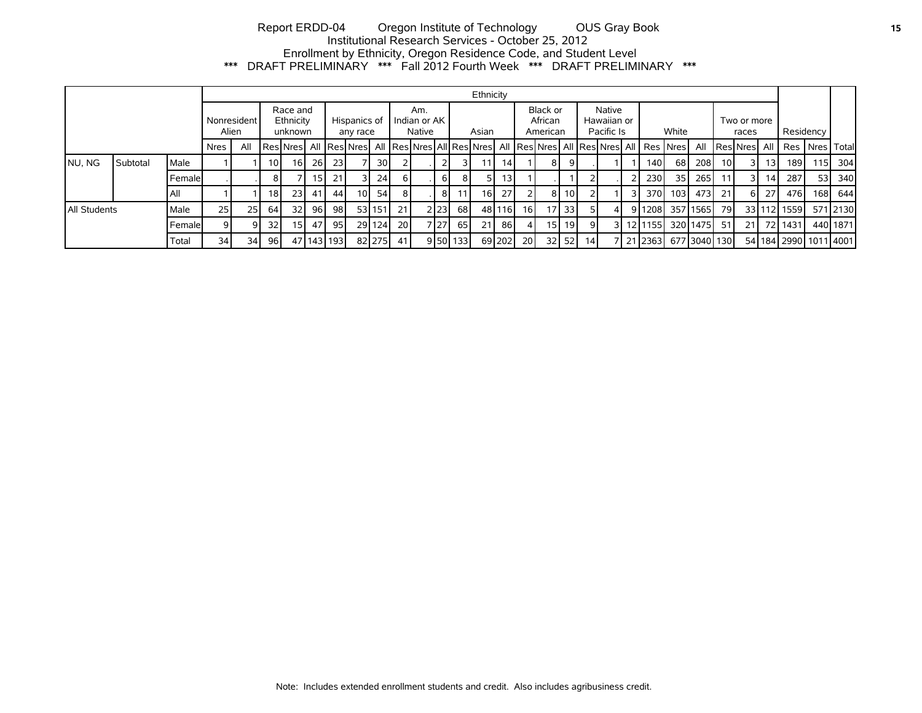# Report ERDD-04 Oregon Institute of Technology OUS Gray Book **15** Institutional Research Services - October 25, 2012 Enrollment by Ethnicity, Oregon Residence Code, and Student Level \*\*\* DRAFT PRELIMINARY \*\*\* Fall 2012 Fourth Week \*\*\* DRAFT PRELIMINARY \*\*\*

|                      |          |               |                 |     |                 |                                                                                                    |           |                          |     |                               |      |  |        |         | Ethnicity                       |                 |                                     |      |         |    |    |  |                      |      |               |           |                 |    |             |                               |          |
|----------------------|----------|---------------|-----------------|-----|-----------------|----------------------------------------------------------------------------------------------------|-----------|--------------------------|-----|-------------------------------|------|--|--------|---------|---------------------------------|-----------------|-------------------------------------|------|---------|----|----|--|----------------------|------|---------------|-----------|-----------------|----|-------------|-------------------------------|----------|
| Nonresident<br>Alien |          |               |                 |     |                 | Race and<br>Ethnicity<br>unknown                                                                   |           | Hispanics of<br>any race |     | Am.<br>Indian or AK<br>Native |      |  | Asian  |         | Black or<br>African<br>American |                 | Native<br>Hawaiian or<br>Pacific Is |      | White   |    |    |  | Two or more<br>races |      |               | Residency |                 |    |             |                               |          |
|                      |          |               | Nres            | All |                 | Res Nres  All  Res Nres  All  Res Nres All Res Nres  All  Res Nres  All  Res Nres  All   Res  Nres |           |                          |     |                               |      |  |        |         |                                 |                 |                                     |      |         |    |    |  |                      |      |               |           | All ResNres All |    |             | Res   Nres   Total            |          |
| NU, NG               | Subtotal | Male          |                 |     | 10 <sup>1</sup> | 16 I                                                                                               | <b>26</b> | 23                       |     | 30 I                          |      |  |        |         | 11                              | 14 <sup>1</sup> |                                     | 81   |         |    |    |  | 140                  | 68 I | 208           | 10I       |                 | 13 | 189 I       | 115                           | 304      |
|                      |          | <b>Female</b> |                 |     | 81              |                                                                                                    | 15 I      | 21                       | ا ک | 24                            | 6 I  |  | 61     |         | 5                               | 13 I            |                                     |      |         |    |    |  | 230                  | 35 I | 265           | 11        |                 | 14 | 287         | 53                            | 340      |
|                      |          | l All         |                 |     | 18 I            | 23 I                                                                                               | 41        | 44                       | 101 | 54                            | 81   |  | 81     |         | 16                              | 27 <sup>1</sup> |                                     | -8 I | 10 I    |    |    |  | 370                  | 103I | 473 l         | 21        | 61              | 27 | 476         | 168                           | 644 l    |
| All Students         |          | Male          | 25              | 25  | 64 I            | 32 <sub>l</sub>                                                                                    | 96        | 98                       |     | 53 151                        | 21   |  | 2   23 | 68      |                                 | 48 116          | 16 I                                | 17   | 33      |    | 4  |  | 9 1208               |      | 357 1565      | 79        |                 |    | 33 112 1559 |                               | 571 2130 |
|                      |          | Female        |                 | Q   | 32 <sub>l</sub> | 151                                                                                                | 47        | 95                       |     | 29 124                        | 20 l |  | 7 27   | 65      | 21                              | 86 I            |                                     | 15 I | 19 I    |    | 31 |  | 1211155              |      | 32011475      | 51        | 21 I            |    | 72 1431     |                               | 440 1871 |
|                      |          | Total         | 34 <sub>l</sub> | 34  | 96 I            |                                                                                                    |           | 47   143   193           |     | 82 275                        | 41   |  |        | 950 133 |                                 | 69 202          | <b>20</b>                           |      | $32$ 52 | 14 |    |  | 21 2363              |      | 6771304011301 |           |                 |    |             | 54   184   2990   1011   4001 |          |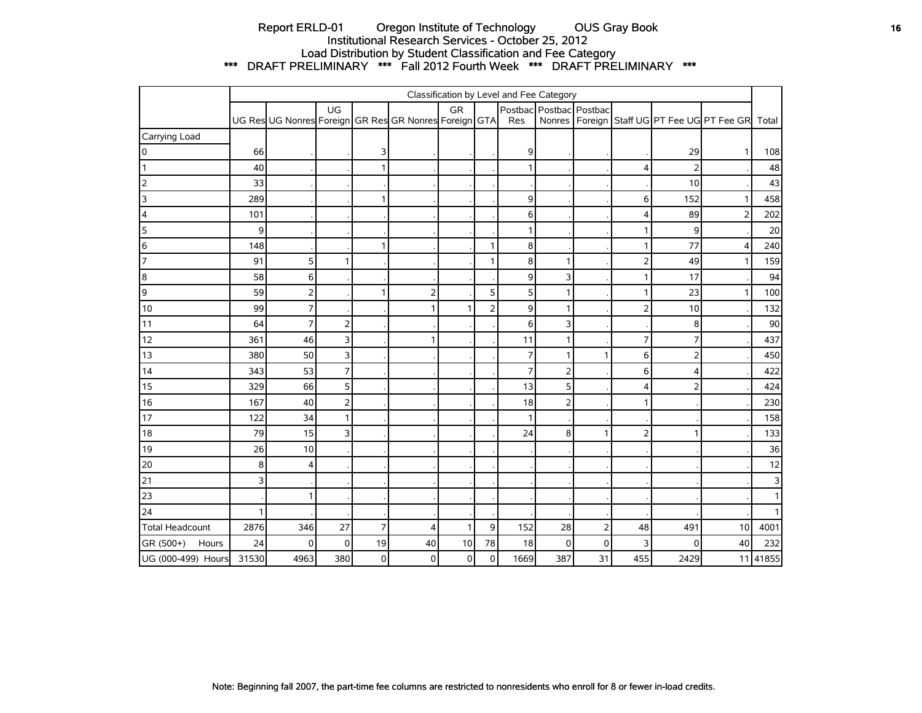# Report ERLD-01 Oregon Institute of Technology OUS Gray Book **16** Institutional Research Services - October 25, 2012 Load Distribution by Student Classification and Fee Category \*\*\* DRAFT PRELIMINARY \*\*\* Fall 2012 Fourth Week \*\*\* DRAFT PRELIMINARY \*\*\*

|                        | Classification by Level and Fee Category |                                                       |                |                |                |              |                |                |                         |                |                |                |                                                     |                |
|------------------------|------------------------------------------|-------------------------------------------------------|----------------|----------------|----------------|--------------|----------------|----------------|-------------------------|----------------|----------------|----------------|-----------------------------------------------------|----------------|
|                        |                                          | UG Res UG Nonres Foreign GR Res GR Nonres Foreign GTA | UG             |                |                | <b>GR</b>    |                | Res            | Postbac Postbac Postbac |                |                |                | Nonres   Foreign   Staff UG   PT Fee UG   PT Fee GR | Total          |
| Carrying Load          |                                          |                                                       |                |                |                |              |                |                |                         |                |                |                |                                                     |                |
| 0                      | 66                                       |                                                       |                | 3              |                |              |                | 9              |                         |                |                | 29             | 1                                                   | 108            |
|                        | 40                                       |                                                       |                | 1              |                |              |                | $\mathbf{1}$   |                         |                | 4              | 2              |                                                     | 48             |
| $\overline{2}$         | 33                                       |                                                       |                |                |                |              |                |                |                         |                |                | 10             |                                                     | 43             |
| 3                      | 289                                      |                                                       |                | 1              |                |              |                | 9              |                         |                | 6              | 152            | $\mathbf{1}$                                        | 458            |
| 4                      | 101                                      |                                                       |                |                |                |              |                | 6              |                         |                | 4              | 89             | $\overline{2}$                                      | 202            |
| 5                      | 9                                        |                                                       |                |                |                |              |                | 1              |                         |                |                | 9              |                                                     | $20\,$         |
| 6                      | 148                                      |                                                       |                | $\mathbf{1}$   |                |              | 1              | 8              |                         |                |                | 77             | $\overline{4}$                                      | 240            |
| $\overline{7}$         | 91                                       | 5                                                     |                |                |                |              |                | 8              |                         |                | フ              | 49             | 1                                                   | 159            |
| 8                      | 58                                       | 6                                                     |                |                |                |              |                | 9              | 3                       |                |                | 17             |                                                     | 94             |
| 9                      | 59                                       | 2                                                     |                | 1              | $\overline{2}$ |              | 5              | 5              |                         |                |                | 23             | 1                                                   | 100            |
| $10$                   | 99                                       | $\overline{7}$                                        |                |                | 1              | 1            | $\overline{2}$ | 9              |                         |                | っ              | 10             |                                                     | 132            |
| 11                     | 64                                       | $\overline{7}$                                        | $\mathbf 2$    |                |                |              |                | 6              | 3                       |                |                | 8              |                                                     | 90             |
| 12                     | 361                                      | 46                                                    | 3              |                |                |              |                | 11             |                         |                | 7              | 7              |                                                     | 437            |
| 13                     | 380                                      | 50                                                    | $\overline{3}$ |                |                |              |                | $\overline{7}$ | 1                       | 1              | 6              | $\overline{2}$ |                                                     | 450            |
| $14$                   | 343                                      | 53                                                    | $\overline{7}$ |                |                |              |                | $\overline{7}$ | 2                       |                | 6              | 4              |                                                     | 422            |
| 15                     | 329                                      | 66                                                    | 5 <sup>1</sup> |                |                |              |                | 13             | 5                       |                | 4              | $\overline{2}$ |                                                     | 424            |
| 16                     | 167                                      | 40                                                    | $\overline{2}$ |                |                |              |                | 18             | 2                       |                |                |                |                                                     | 230            |
| 17                     | 122                                      | 34                                                    | 1              |                |                |              |                | $\mathbf{1}$   |                         |                |                |                |                                                     | 158            |
| $18$                   | 79                                       | 15                                                    | 3              |                |                |              |                | 24             | 8                       | 1              | $\overline{2}$ |                |                                                     | 133            |
| 19                     | 26                                       | 10                                                    |                |                |                |              |                |                |                         |                |                |                |                                                     | 36             |
| 20                     | 8                                        | 4                                                     |                |                |                |              |                |                |                         |                |                |                |                                                     | 12             |
| 21                     | 3                                        |                                                       |                |                |                |              |                |                |                         |                |                |                |                                                     | 3              |
| 23                     |                                          |                                                       |                |                |                |              |                |                |                         |                |                |                |                                                     | $\mathbf{1}$   |
| 24                     |                                          |                                                       |                |                |                |              |                |                |                         |                |                |                |                                                     | 1 <sup>1</sup> |
| <b>Total Headcount</b> | 2876                                     | 346                                                   | 27             | $\overline{7}$ | 4              | $\mathbf{1}$ | 9              | 152            | 28                      | $\overline{2}$ | 48             | 491            | 10                                                  | 4001           |
| GR (500+)<br>Hours     | 24                                       | $\mathbf 0$                                           | $\mathbf 0$    | 19             | 40             | $10$         | 78             | 18             | 0                       | $\overline{0}$ | 3              | $\Omega$       | 40                                                  | 232            |
| UG (000-499) Hours     | 31530                                    | 4963                                                  | 380            | $\pmb{0}$      | $\mathbf 0$    | $\pmb{0}$    | $\overline{0}$ | 1669           | 387                     | 31             | 455            | 2429           |                                                     | 11 41855       |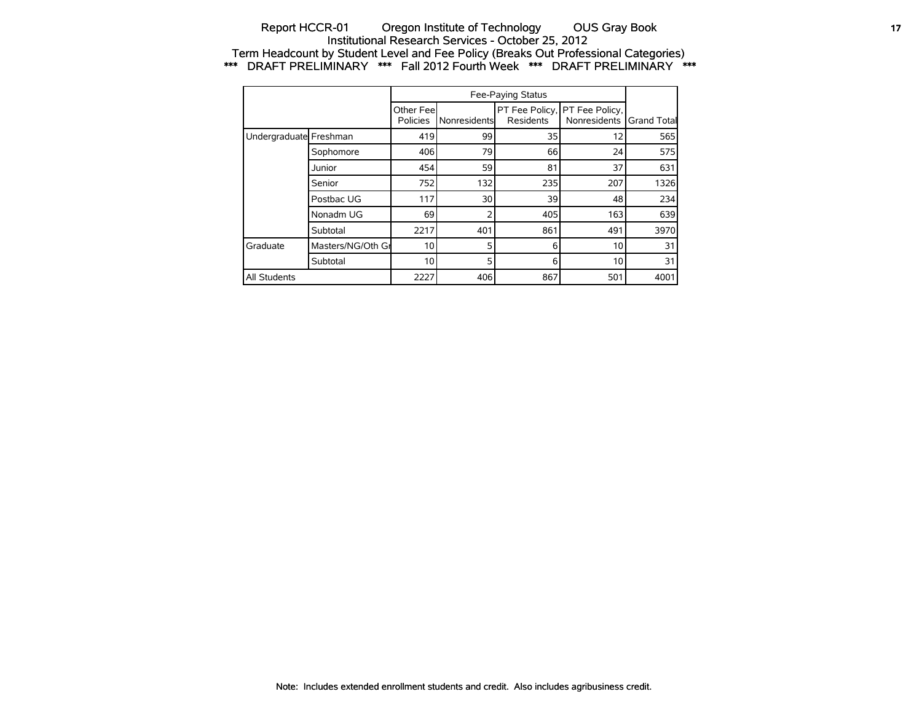## Report HCCR-01 Oregon Institute of Technology OUS Gray Book **17** 17 Institutional Research Services - October 25, 2012 Term Headcount by Student Level and Fee Policy (Breaks Out Professional Categories) \*\*\* DRAFT PRELIMINARY \*\*\* Fall 2012 Fourth Week \*\*\* DRAFT PRELIMINARY \*\*\*

|                        |                   | Other Feel<br>Policies | Nonresidents | Residents | PT Fee Policy, PT Fee Policy,<br>Nonresidents | <b>Grand Total</b> |
|------------------------|-------------------|------------------------|--------------|-----------|-----------------------------------------------|--------------------|
| Undergraduate Freshman |                   | 419                    | 99           | 35        | 12                                            | 565                |
|                        | Sophomore         | 406                    | 79           | 66        | 24                                            | 575                |
|                        | Junior            | 454                    | 59           | 81        | 37                                            | 631                |
|                        | Senior            | 752                    | 132          | 235       | 207                                           | 1326               |
|                        | Postbac UG        | 117                    | 30           | 39        | 48                                            | 234                |
|                        | Nonadm UG         | 69                     | 2            | 405       | 163                                           | 639                |
|                        | Subtotal          | 2217                   | 401          | 861       | 491                                           | 3970               |
| l Graduate             | Masters/NG/Oth Gr | 10 <sup>1</sup>        | 5            | 6         | 10                                            | 31                 |
|                        | Subtotal          | 10 <sup>1</sup>        | 5            | 6         | 10                                            | 31                 |
| All Students           |                   | 2227                   | 406          | 867       | 501                                           | 4001               |